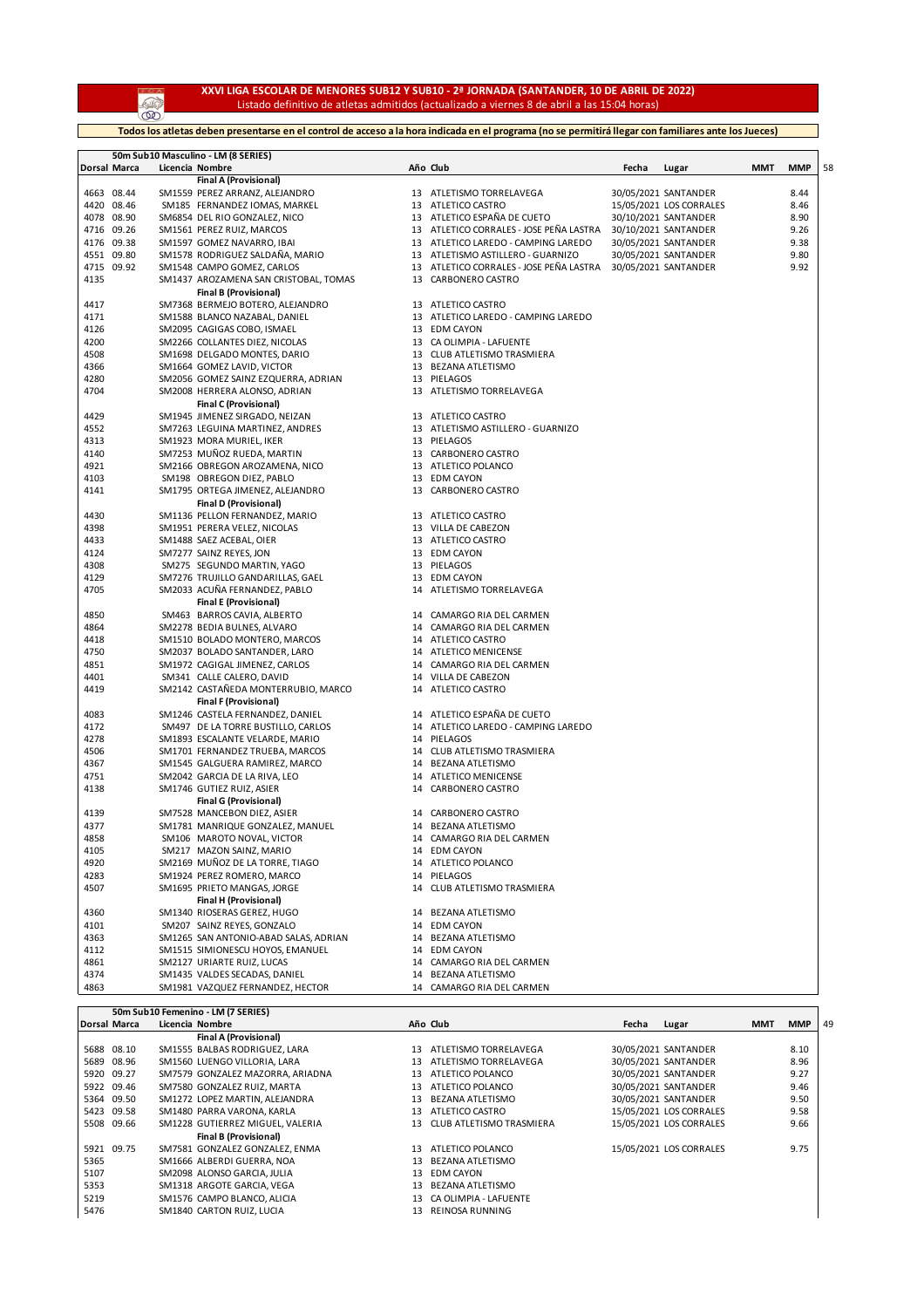**AND** 

## **XXVI LIGA ESCOLAR DE MENORES SUB12 Y SUB10 - 2ª JORNADA (SANTANDER, 10 DE ABRIL DE 2022)** Listado definitivo de atletas admitidos (actualizado a viernes 8 de abril a las 15:04 horas)

**Todos los atletas deben presentarse en el control de acceso a la hora indicada en el programa (no se permitirá llegar con familiares ante los Jueces)**

|              |              | 50m Sub10 Masculino - LM (8 SERIES)                              |    |                                          |       |                         |     |            |    |
|--------------|--------------|------------------------------------------------------------------|----|------------------------------------------|-------|-------------------------|-----|------------|----|
|              | Dorsal Marca | Licencia Nombre                                                  |    | Año Club                                 | Fecha | Lugar                   | ММТ | <b>MMP</b> | 58 |
|              |              | Final A (Provisional)                                            |    |                                          |       |                         |     |            |    |
|              | 4663 08.44   | SM1559 PEREZ ARRANZ, ALEJANDRO                                   |    | 13 ATLETISMO TORRELAVEGA                 |       | 30/05/2021 SANTANDER    |     | 8.44       |    |
|              | 4420 08.46   | SM185 FERNANDEZ IOMAS, MARKEL                                    |    | 13 ATLETICO CASTRO                       |       | 15/05/2021 LOS CORRALES |     | 8.46       |    |
| 4078         | 08.90        | SM6854 DEL RIO GONZALEZ, NICO                                    | 13 | ATLETICO ESPANA DE CUETO                 |       | 30/10/2021 SANTANDER    |     | 8.90       |    |
| 4716         | 09.26        | SM1561 PEREZ RUIZ, MARCOS                                        | 13 | ATLETICO CORRALES - JOSE PEÑA LASTRA     |       | 30/10/2021 SANTANDER    |     | 9.26       |    |
| 4176         | 09.38        | SM1597 GOMEZ NAVARRO, IBAI                                       |    | 13 ATLETICO LAREDO - CAMPING LAREDO      |       | 30/05/2021 SANTANDER    |     | 9.38       |    |
| 4551         | 09.80        | SM1578 RODRIGUEZ SALDAÑA, MARIO                                  | 13 | ATLETISMO ASTILLERO - GUARNIZO           |       | 30/05/2021 SANTANDER    |     | 9.80       |    |
| 4715         | 09.92        | SM1548 CAMPO GOMEZ, CARLOS                                       | 13 | ATLETICO CORRALES - JOSE PEÑA LASTRA     |       | 30/05/2021 SANTANDER    |     | 9.92       |    |
| 4135         |              | SM1437 AROZAMENA SAN CRISTOBAL, TOMAS                            |    | 13 CARBONERO CASTRO                      |       |                         |     |            |    |
| 4417         |              | <b>Final B (Provisional)</b><br>SM7368 BERMEJO BOTERO, ALEJANDRO |    | 13 ATLETICO CASTRO                       |       |                         |     |            |    |
| 4171         |              | SM1588 BLANCO NAZABAL, DANIEL                                    |    | 13 ATLETICO LAREDO - CAMPING LAREDO      |       |                         |     |            |    |
|              |              |                                                                  |    |                                          |       |                         |     |            |    |
| 4126<br>4200 |              | SM2095 CAGIGAS COBO, ISMAEL<br>SM2266 COLLANTES DIEZ, NICOLAS    |    | 13 EDM CAYON<br>13 CA OLIMPIA - LAFUENTE |       |                         |     |            |    |
| 4508         |              | SM1698 DELGADO MONTES, DARIO                                     |    | 13 CLUB ATLETISMO TRASMIERA              |       |                         |     |            |    |
| 4366         |              | SM1664 GOMEZ LAVID, VICTOR                                       |    | 13 BEZANA ATLETISMO                      |       |                         |     |            |    |
| 4280         |              | SM2056 GOMEZ SAINZ EZQUERRA, ADRIAN                              |    | 13 PIELAGOS                              |       |                         |     |            |    |
| 4704         |              | SM2008 HERRERA ALONSO, ADRIAN                                    |    | 13 ATLETISMO TORRELAVEGA                 |       |                         |     |            |    |
|              |              | Final C (Provisional)                                            |    |                                          |       |                         |     |            |    |
| 4429         |              | SM1945 JIMENEZ SIRGADO, NEIZAN                                   |    | 13 ATLETICO CASTRO                       |       |                         |     |            |    |
| 4552         |              | SM7263 LEGUINA MARTINEZ, ANDRES                                  |    | 13 ATLETISMO ASTILLERO - GUARNIZO        |       |                         |     |            |    |
| 4313         |              | SM1923 MORA MURIEL, IKER                                         |    | 13 PIELAGOS                              |       |                         |     |            |    |
| 4140         |              | SM7253 MUÑOZ RUEDA, MARTIN                                       |    | 13 CARBONERO CASTRO                      |       |                         |     |            |    |
| 4921         |              | SM2166 OBREGON AROZAMENA, NICO                                   |    | 13 ATLETICO POLANCO                      |       |                         |     |            |    |
| 4103         |              | SM198 OBREGON DIEZ, PABLO                                        |    | 13 EDM CAYON                             |       |                         |     |            |    |
| 4141         |              | SM1795 ORTEGA JIMENEZ, ALEJANDRO                                 |    | 13 CARBONERO CASTRO                      |       |                         |     |            |    |
|              |              | <b>Final D (Provisional)</b>                                     |    |                                          |       |                         |     |            |    |
| 4430         |              | SM1136 PELLON FERNANDEZ, MARIO                                   |    | 13 ATLETICO CASTRO                       |       |                         |     |            |    |
| 4398         |              | SM1951 PERERA VELEZ, NICOLAS                                     |    | 13 VILLA DE CABEZON                      |       |                         |     |            |    |
| 4433         |              | SM1488 SAEZ ACEBAL, OIER                                         |    | 13 ATLETICO CASTRO                       |       |                         |     |            |    |
| 4124         |              | SM7277 SAINZ REYES, JON                                          |    | 13 EDM CAYON                             |       |                         |     |            |    |
| 4308         |              | SM275 SEGUNDO MARTIN, YAGO                                       |    | 13 PIELAGOS                              |       |                         |     |            |    |
| 4129         |              | SM7276 TRUJILLO GANDARILLAS, GAEL                                |    | 13 EDM CAYON                             |       |                         |     |            |    |
| 4705         |              | SM2033 ACUÑA FERNANDEZ, PABLO                                    |    | 14 ATLETISMO TORRELAVEGA                 |       |                         |     |            |    |
|              |              | <b>Final E (Provisional)</b>                                     |    |                                          |       |                         |     |            |    |
| 4850         |              | SM463 BARROS CAVIA, ALBERTO                                      |    | 14 CAMARGO RIA DEL CARMEN                |       |                         |     |            |    |
| 4864         |              | SM2278 BEDIA BULNES, ALVARO                                      |    | 14 CAMARGO RIA DEL CARMEN                |       |                         |     |            |    |
| 4418         |              | SM1510 BOLADO MONTERO, MARCOS                                    |    | 14 ATLETICO CASTRO                       |       |                         |     |            |    |
| 4750         |              | SM2037 BOLADO SANTANDER, LARO                                    |    | 14 ATLETICO MENICENSE                    |       |                         |     |            |    |
| 4851         |              | SM1972 CAGIGAL JIMENEZ, CARLOS                                   |    | 14 CAMARGO RIA DEL CARMEN                |       |                         |     |            |    |
| 4401         |              | SM341 CALLE CALERO, DAVID                                        | 14 | VILLA DE CABEZON                         |       |                         |     |            |    |
| 4419         |              | SM2142 CASTAÑEDA MONTERRUBIO, MARCO                              |    | 14 ATLETICO CASTRO                       |       |                         |     |            |    |
|              |              | <b>Final F (Provisional)</b>                                     |    |                                          |       |                         |     |            |    |
| 4083         |              | SM1246 CASTELA FERNANDEZ, DANIEL                                 |    | 14 ATLETICO ESPAÑA DE CUETO              |       |                         |     |            |    |
| 4172         |              | SM497 DE LA TORRE BUSTILLO, CARLOS                               |    | 14 ATLETICO LAREDO - CAMPING LAREDO      |       |                         |     |            |    |
| 4278         |              | SM1893 ESCALANTE VELARDE, MARIO                                  |    | 14 PIELAGOS                              |       |                         |     |            |    |
| 4506         |              | SM1701 FERNANDEZ TRUEBA, MARCOS                                  |    | 14 CLUB ATLETISMO TRASMIERA              |       |                         |     |            |    |
| 4367         |              | SM1545 GALGUERA RAMIREZ, MARCO                                   |    | 14 BEZANA ATLETISMO                      |       |                         |     |            |    |
| 4751         |              | SM2042 GARCIA DE LA RIVA, LEO                                    |    | 14 ATLETICO MENICENSE                    |       |                         |     |            |    |
| 4138         |              | SM1746 GUTIEZ RUIZ, ASIER                                        | 14 | CARBONERO CASTRO                         |       |                         |     |            |    |
|              |              | <b>Final G (Provisional)</b>                                     |    |                                          |       |                         |     |            |    |
| 4139         |              | SM7528 MANCEBON DIEZ, ASIER                                      |    | 14 CARBONERO CASTRO                      |       |                         |     |            |    |
| 4377         |              | SM1781 MANRIQUE GONZALEZ, MANUEL                                 |    | 14 BEZANA ATLETISMO                      |       |                         |     |            |    |
| 4858         |              | SM106 MAROTO NOVAL, VICTOR                                       |    | 14 CAMARGO RIA DEL CARMEN                |       |                         |     |            |    |
| 4105         |              | SM217 MAZON SAINZ, MARIO                                         |    | 14 EDM CAYON                             |       |                         |     |            |    |
| 4920         |              | SM2169 MUÑOZ DE LA TORRE, TIAGO                                  |    | 14 ATLETICO POLANCO                      |       |                         |     |            |    |
| 4283         |              | SM1924 PEREZ ROMERO, MARCO                                       |    | 14 PIELAGOS                              |       |                         |     |            |    |
| 4507         |              | SM1695 PRIETO MANGAS, JORGE                                      |    | 14 CLUB ATLETISMO TRASMIERA              |       |                         |     |            |    |
|              |              | Final H (Provisional)                                            |    |                                          |       |                         |     |            |    |
| 4360         |              | SM1340 RIOSERAS GEREZ, HUGO                                      |    | 14 BEZANA ATLETISMO                      |       |                         |     |            |    |
| 4101         |              | SM207 SAINZ REYES, GONZALO                                       |    | 14 EDM CAYON                             |       |                         |     |            |    |
| 4363         |              | SM1265 SAN ANTONIO-ABAD SALAS, ADRIAN                            |    | 14 BEZANA ATLETISMO                      |       |                         |     |            |    |
| 4112         |              | SM1515 SIMIONESCU HOYOS, EMANUEL                                 |    | 14 EDM CAYON                             |       |                         |     |            |    |
| 4861         |              | SM2127 URIARTE RUIZ, LUCAS                                       |    | 14 CAMARGO RIA DEL CARMEN                |       |                         |     |            |    |
| 4374         |              | SM1435 VALDES SECADAS, DANIEL                                    |    | 14 BEZANA ATLETISMO                      |       |                         |     |            |    |
| 4863         |              | SM1981 VAZQUEZ FERNANDEZ, HECTOR                                 |    | 14 CAMARGO RIA DEL CARMEN                |       |                         |     |            |    |

**50m Sub10 Femenino - LM (7 SERIES) Dorsal Marca Licencia Nombre Año Club Fecha Lugar MMT MMP** 49

|      |            | <b>Final A (Provisional)</b>     |    |                             |                         |      |
|------|------------|----------------------------------|----|-----------------------------|-------------------------|------|
|      | 5688 08.10 | SM1555 BALBAS RODRIGUEZ, LARA    | 13 | ATLETISMO TORRELAVEGA       | 30/05/2021 SANTANDER    | 8.10 |
|      | 5689 08.96 | SM1560 LUENGO VILLORIA, LARA     | 13 | ATLETISMO TORRELAVEGA       | 30/05/2021 SANTANDER    | 8.96 |
|      | 5920 09.27 | SM7579 GONZALEZ MAZORRA, ARIADNA | 13 | ATLETICO POLANCO            | 30/05/2021 SANTANDER    | 9.27 |
|      | 5922 09.46 | SM7580 GONZALEZ RUIZ, MARTA      | 13 | ATLETICO POLANCO            | 30/05/2021 SANTANDER    | 9.46 |
|      | 5364 09.50 | SM1272 LOPEZ MARTIN, ALEJANDRA   | 13 | BEZANA ATLETISMO            | 30/05/2021 SANTANDER    | 9.50 |
|      | 5423 09.58 | SM1480 PARRA VARONA, KARLA       | 13 | ATLETICO CASTRO             | 15/05/2021 LOS CORRALES | 9.58 |
|      | 5508 09.66 | SM1228 GUTIERREZ MIGUEL, VALERIA |    | 13 CLUB ATLETISMO TRASMIERA | 15/05/2021 LOS CORRALES | 9.66 |
|      |            | <b>Final B (Provisional)</b>     |    |                             |                         |      |
|      | 5921 09.75 | SM7581 GONZALEZ GONZALEZ, ENMA   | 13 | ATLETICO POLANCO            | 15/05/2021 LOS CORRALES | 9.75 |
| 5365 |            | SM1666 ALBERDI GUERRA. NOA       | 13 | BEZANA ATLETISMO            |                         |      |
| 5107 |            | SM2098 ALONSO GARCIA, JULIA      | 13 | EDM CAYON                   |                         |      |
| 5353 |            | SM1318 ARGOTE GARCIA, VEGA       | 13 | BEZANA ATLETISMO            |                         |      |
| 5219 |            | SM1576 CAMPO BLANCO, ALICIA      | 13 | CA OLIMPIA - LAFUENTE       |                         |      |
| 5476 |            | SM1840 CARTON RUIZ, LUCIA        | 13 | REINOSA RUNNING             |                         |      |
|      |            |                                  |    |                             |                         |      |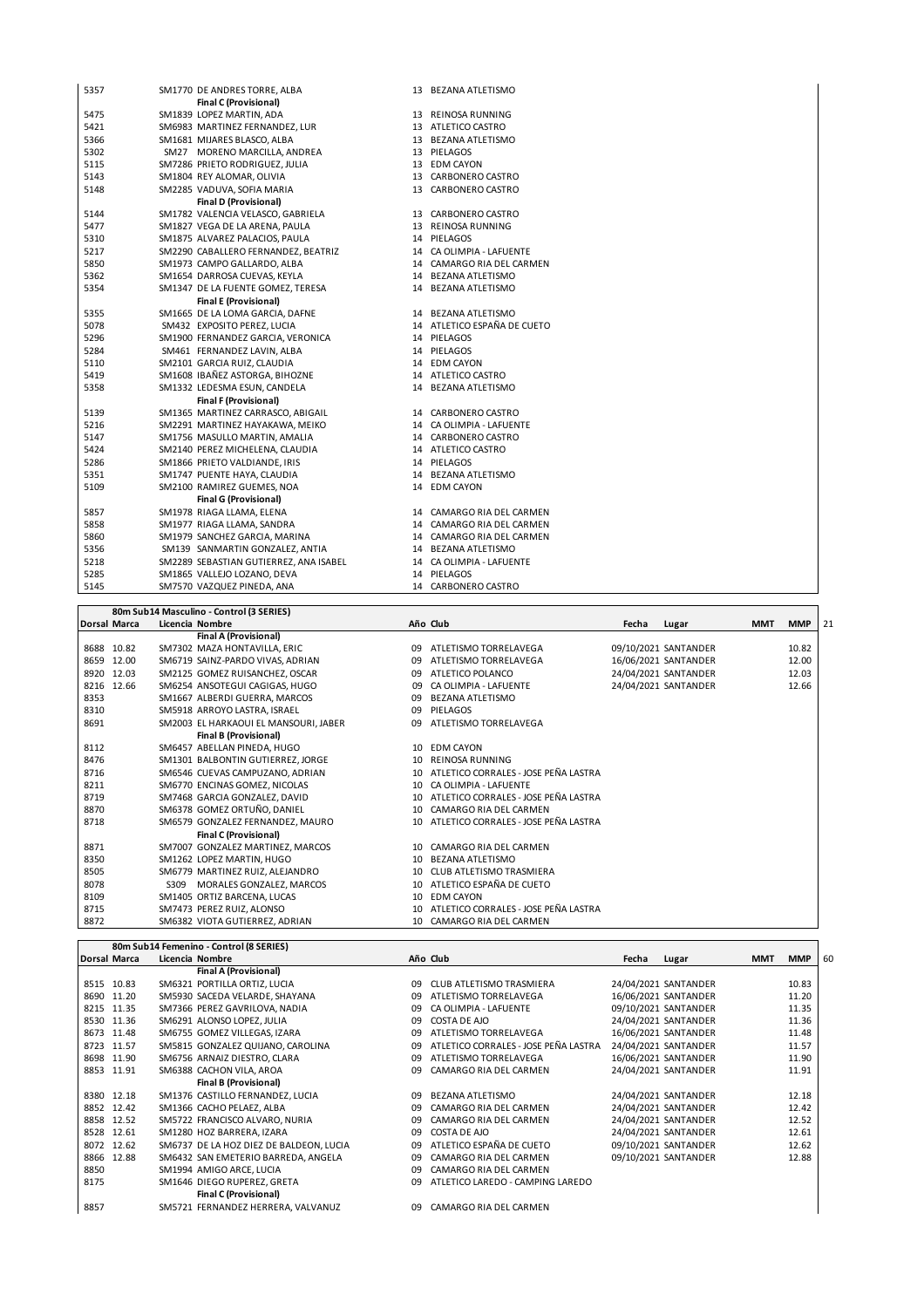| 5357 | SM1770 DE ANDRES TORRE, ALBA           | 13 BEZANA ATLETISMO         |
|------|----------------------------------------|-----------------------------|
|      | <b>Final C (Provisional)</b>           |                             |
| 5475 | SM1839 LOPEZ MARTIN, ADA               | 13 REINOSA RUNNING          |
| 5421 | SM6983 MARTINEZ FERNANDEZ, LUR         | 13 ATLETICO CASTRO          |
| 5366 | SM1681 MIJARES BLASCO, ALBA            | 13 BEZANA ATLETISMO         |
| 5302 | SM27 MORENO MARCILLA, ANDREA           | 13 PIELAGOS                 |
| 5115 | SM7286 PRIETO RODRIGUEZ, JULIA         | 13 EDM CAYON                |
| 5143 | SM1804 REY ALOMAR, OLIVIA              | 13 CARBONERO CASTRO         |
| 5148 | SM2285 VADUVA, SOFIA MARIA             | 13 CARBONERO CASTRO         |
|      | <b>Final D (Provisional)</b>           |                             |
| 5144 | SM1782 VALENCIA VELASCO, GABRIELA      | 13 CARBONERO CASTRO         |
| 5477 | SM1827 VEGA DE LA ARENA, PAULA         | 13 REINOSA RUNNING          |
| 5310 | SM1875 ALVAREZ PALACIOS, PAULA         | 14 PIELAGOS                 |
| 5217 | SM2290 CABALLERO FERNANDEZ, BEATRIZ    | 14 CA OLIMPIA - LAFUENTE    |
| 5850 | SM1973 CAMPO GALLARDO, ALBA            | 14 CAMARGO RIA DEL CARMEN   |
| 5362 | SM1654 DARROSA CUEVAS, KEYLA           | 14 BEZANA ATLETISMO         |
| 5354 | SM1347 DE LA FUENTE GOMEZ, TERESA      | 14 BEZANA ATLETISMO         |
|      | <b>Final E (Provisional)</b>           |                             |
| 5355 | SM1665 DE LA LOMA GARCIA, DAFNE        | 14 BEZANA ATLETISMO         |
| 5078 | SM432 EXPOSITO PEREZ, LUCIA            | 14 ATLETICO ESPAÑA DE CUETO |
| 5296 | SM1900 FERNANDEZ GARCIA, VERONICA      | 14 PIELAGOS                 |
| 5284 | SM461 FERNANDEZ LAVIN, ALBA            | 14 PIELAGOS                 |
| 5110 | SM2101 GARCIA RUIZ, CLAUDIA            | 14 EDM CAYON                |
| 5419 | SM1608 IBAÑEZ ASTORGA, BIHOZNE         | 14 ATLETICO CASTRO          |
| 5358 | SM1332 LEDESMA ESUN, CANDELA           | 14 BEZANA ATLETISMO         |
|      | <b>Final F (Provisional)</b>           |                             |
| 5139 | SM1365 MARTINEZ CARRASCO, ABIGAIL      | 14 CARBONERO CASTRO         |
| 5216 | SM2291 MARTINEZ HAYAKAWA, MEIKO        | 14 CA OLIMPIA - LAFUENTE    |
| 5147 | SM1756 MASULLO MARTIN, AMALIA          | 14 CARBONERO CASTRO         |
| 5424 | SM2140 PEREZ MICHELENA, CLAUDIA        | 14 ATLETICO CASTRO          |
| 5286 | SM1866 PRIETO VALDIANDE, IRIS          | 14 PIELAGOS                 |
| 5351 | SM1747 PUENTE HAYA, CLAUDIA            | 14 BEZANA ATLETISMO         |
| 5109 | SM2100 RAMIREZ GUEMES, NOA             | 14 EDM CAYON                |
|      | <b>Final G (Provisional)</b>           |                             |
| 5857 | SM1978 RIAGA LLAMA, ELENA              | 14 CAMARGO RIA DEL CARMEN   |
| 5858 | SM1977 RIAGA LLAMA, SANDRA             | 14 CAMARGO RIA DEL CARMEN   |
| 5860 | SM1979 SANCHEZ GARCIA, MARINA          | 14 CAMARGO RIA DEL CARMEN   |
| 5356 | SM139 SANMARTIN GONZALEZ, ANTIA        | 14 BEZANA ATLETISMO         |
| 5218 | SM2289 SEBASTIAN GUTIERREZ, ANA ISABEL | 14 CA OLIMPIA - LAFUENTE    |
| 5285 | SM1865 VALLEJO LOZANO, DEVA            | 14 PIELAGOS                 |
| 5145 | SM7570 VAZQUEZ PINEDA, ANA             | 14 CARBONERO CASTRO         |

|      |              | 80m Sub14 Masculino - Control (3 SERIES) |                 |                                         |       |                      |            |            |    |
|------|--------------|------------------------------------------|-----------------|-----------------------------------------|-------|----------------------|------------|------------|----|
|      | Dorsal Marca | Licencia Nombre                          |                 | Año Club                                | Fecha | Lugar                | <b>MMT</b> | <b>MMP</b> | 21 |
|      |              | <b>Final A (Provisional)</b>             |                 |                                         |       |                      |            |            |    |
|      | 8688 10.82   | SM7302 MAZA HONTAVILLA, ERIC             | 09              | ATLETISMO TORRELAVEGA                   |       | 09/10/2021 SANTANDER |            | 10.82      |    |
| 8659 | 12.00        | SM6719 SAINZ-PARDO VIVAS, ADRIAN         | 09              | ATLETISMO TORRELAVEGA                   |       | 16/06/2021 SANTANDER |            | 12.00      |    |
|      | 8920 12.03   | SM2125 GOMEZ RUISANCHEZ, OSCAR           | 09              | ATLETICO POLANCO                        |       | 24/04/2021 SANTANDER |            | 12.03      |    |
|      | 8216 12.66   | SM6254 ANSOTEGUI CAGIGAS, HUGO           | 09              | CA OLIMPIA - LAFUENTE                   |       | 24/04/2021 SANTANDER |            | 12.66      |    |
| 8353 |              | SM1667 ALBERDI GUERRA, MARCOS            | 09              | <b>BEZANA ATLETISMO</b>                 |       |                      |            |            |    |
| 8310 |              | SM5918 ARROYO LASTRA, ISRAEL             | 09              | PIELAGOS                                |       |                      |            |            |    |
| 8691 |              | SM2003 EL HARKAOUI EL MANSOURI, JABER    | 09              | ATLETISMO TORRELAVEGA                   |       |                      |            |            |    |
|      |              | <b>Final B (Provisional)</b>             |                 |                                         |       |                      |            |            |    |
| 8112 |              | SM6457 ABELLAN PINEDA, HUGO              | 10              | <b>EDM CAYON</b>                        |       |                      |            |            |    |
| 8476 |              | SM1301 BALBONTIN GUTIERREZ, JORGE        | 10              | <b>REINOSA RUNNING</b>                  |       |                      |            |            |    |
| 8716 |              | SM6546 CUEVAS CAMPUZANO, ADRIAN          | 10              | ATLETICO CORRALES - JOSE PEÑA LASTRA    |       |                      |            |            |    |
| 8211 |              | SM6770 ENCINAS GOMEZ, NICOLAS            | 10 <sup>1</sup> | CA OLIMPIA - LAFUENTE                   |       |                      |            |            |    |
| 8719 |              | SM7468 GARCIA GONZALEZ, DAVID            | 10              | ATLETICO CORRALES - JOSE PEÑA LASTRA    |       |                      |            |            |    |
| 8870 |              | SM6378 GOMEZ ORTUÑO, DANIEL              | 10              | CAMARGO RIA DEL CARMEN                  |       |                      |            |            |    |
| 8718 |              | SM6579 GONZALEZ FERNANDEZ, MAURO         |                 | 10 ATLETICO CORRALES - JOSE PEÑA LASTRA |       |                      |            |            |    |
|      |              | <b>Final C (Provisional)</b>             |                 |                                         |       |                      |            |            |    |
| 8871 |              | SM7007 GONZALEZ MARTINEZ, MARCOS         | 10              | CAMARGO RIA DEL CARMEN                  |       |                      |            |            |    |
| 8350 |              | SM1262 LOPEZ MARTIN, HUGO                | 10              | <b>BEZANA ATLETISMO</b>                 |       |                      |            |            |    |
| 8505 |              | SM6779 MARTINEZ RUIZ, ALEJANDRO          | 10              | CLUB ATLETISMO TRASMIERA                |       |                      |            |            |    |
| 8078 |              | S309<br>MORALES GONZALEZ, MARCOS         | 10              | ATLETICO ESPAÑA DE CUETO                |       |                      |            |            |    |
| 8109 |              | SM1405 ORTIZ BARCENA, LUCAS              | 10              | <b>EDM CAYON</b>                        |       |                      |            |            |    |
| 8715 |              | SM7473 PEREZ RUIZ, ALONSO                | 10              | ATLETICO CORRALES - JOSE PEÑA LASTRA    |       |                      |            |            |    |
| 8872 |              | SM6382 VIOTA GUTIERREZ, ADRIAN           |                 | 10 CAMARGO RIA DEL CARMEN               |       |                      |            |            |    |

 $\mathsf{r}$ 

|      |                     | 80m Sub14 Femenino - Control (8 SERIES) |    |                                      |       |                      |            |            |    |
|------|---------------------|-----------------------------------------|----|--------------------------------------|-------|----------------------|------------|------------|----|
|      | <b>Dorsal Marca</b> | Licencia Nombre                         |    | Año Club                             | Fecha | Lugar                | <b>MMT</b> | <b>MMP</b> | 60 |
|      |                     | <b>Final A (Provisional)</b>            |    |                                      |       |                      |            |            |    |
|      | 8515 10.83          | SM6321 PORTILLA ORTIZ, LUCIA            | 09 | CLUB ATLETISMO TRASMIERA             |       | 24/04/2021 SANTANDER |            | 10.83      |    |
|      | 8690 11.20          | SM5930 SACEDA VELARDE, SHAYANA          | 09 | ATLETISMO TORRELAVEGA                |       | 16/06/2021 SANTANDER |            | 11.20      |    |
|      | 8215 11.35          | SM7366 PEREZ GAVRILOVA, NADIA           | 09 | CA OLIMPIA - LAFUENTE                |       | 09/10/2021 SANTANDER |            | 11.35      |    |
|      | 8530 11.36          | SM6291 ALONSO LOPEZ. JULIA              | 09 | COSTA DE AJO                         |       | 24/04/2021 SANTANDER |            | 11.36      |    |
|      | 8673 11.48          | SM6755 GOMEZ VILLEGAS, IZARA            | 09 | ATLETISMO TORRELAVEGA                |       | 16/06/2021 SANTANDER |            | 11.48      |    |
|      | 8723 11.57          | SM5815 GONZALEZ QUIJANO, CAROLINA       | 09 | ATLETICO CORRALES - JOSE PEÑA LASTRA |       | 24/04/2021 SANTANDER |            | 11.57      |    |
|      | 8698 11.90          | SM6756 ARNAIZ DIESTRO, CLARA            | 09 | ATLETISMO TORRELAVEGA                |       | 16/06/2021 SANTANDER |            | 11.90      |    |
|      | 8853 11.91          | SM6388 CACHON VILA, AROA                | 09 | CAMARGO RIA DEL CARMEN               |       | 24/04/2021 SANTANDER |            | 11.91      |    |
|      |                     | <b>Final B (Provisional)</b>            |    |                                      |       |                      |            |            |    |
|      | 8380 12.18          | SM1376 CASTILLO FERNANDEZ, LUCIA        | 09 | <b>BEZANA ATLETISMO</b>              |       | 24/04/2021 SANTANDER |            | 12.18      |    |
|      | 8852 12.42          | SM1366 CACHO PELAEZ, ALBA               | 09 | CAMARGO RIA DEL CARMEN               |       | 24/04/2021 SANTANDER |            | 12.42      |    |
|      | 8858 12.52          | SM5722 FRANCISCO ALVARO, NURIA          | 09 | CAMARGO RIA DEL CARMEN               |       | 24/04/2021 SANTANDER |            | 12.52      |    |
| 8528 | 12.61               | SM1280 HOZ BARRERA, IZARA               | 09 | COSTA DE AJO                         |       | 24/04/2021 SANTANDER |            | 12.61      |    |
|      | 8072 12.62          | SM6737 DE LA HOZ DIEZ DE BALDEON, LUCIA | 09 | ATLETICO ESPAÑA DE CUETO             |       | 09/10/2021 SANTANDER |            | 12.62      |    |
| 8866 | 12.88               | SM6432 SAN EMETERIO BARREDA, ANGELA     | 09 | CAMARGO RIA DEL CARMEN               |       | 09/10/2021 SANTANDER |            | 12.88      |    |
| 8850 |                     | SM1994 AMIGO ARCE. LUCIA                | 09 | CAMARGO RIA DEL CARMEN               |       |                      |            |            |    |
| 8175 |                     | SM1646 DIEGO RUPEREZ, GRETA             | 09 | ATLETICO LAREDO - CAMPING LAREDO     |       |                      |            |            |    |
|      |                     | <b>Final C (Provisional)</b>            |    |                                      |       |                      |            |            |    |
| 8857 |                     | SM5721 FERNANDEZ HERRERA, VALVANUZ      | 09 | CAMARGO RIA DEL CARMEN               |       |                      |            |            |    |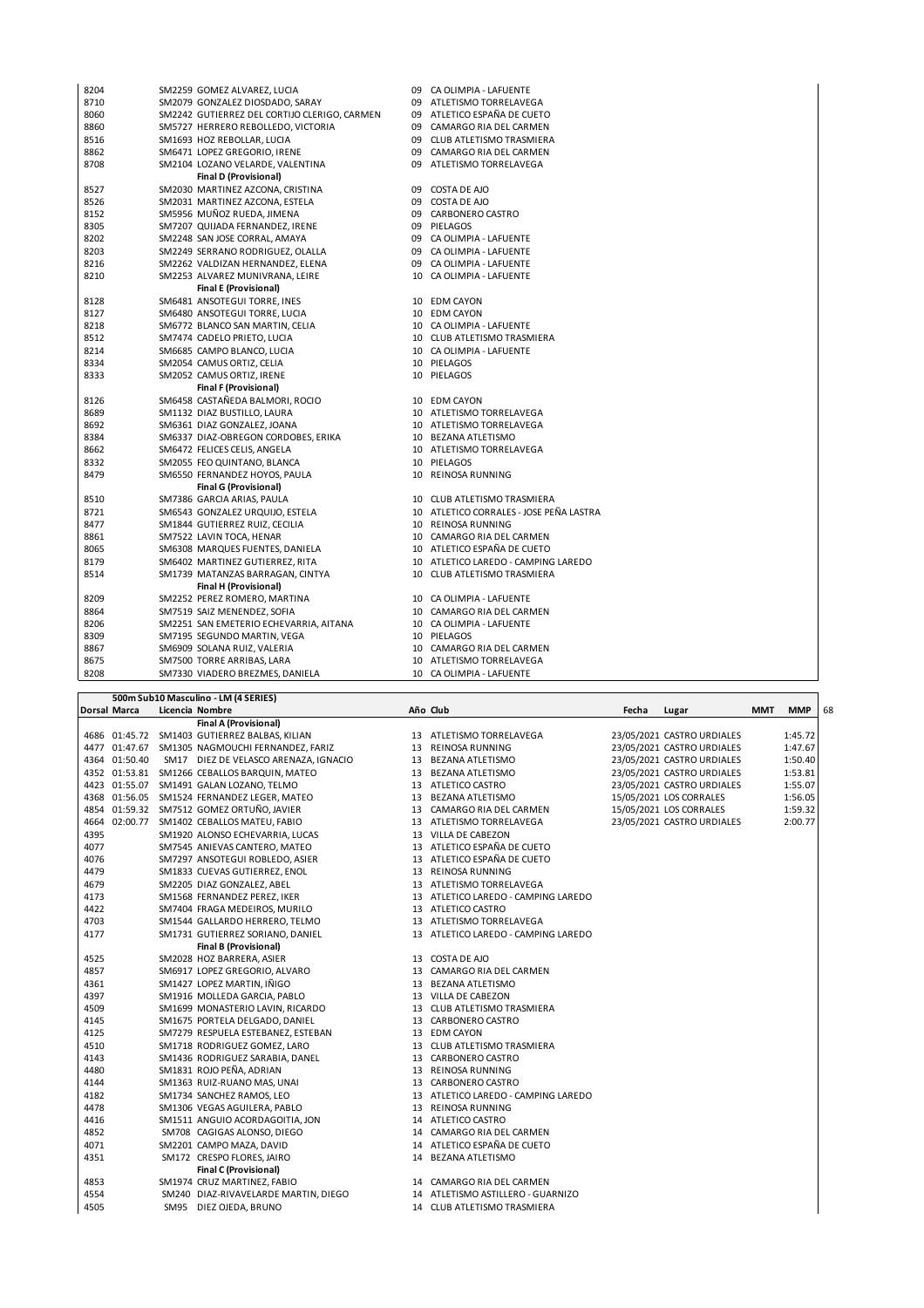| 8204 | SM2259 GOMEZ ALVAREZ, LUCIA                  |    | 09 CA OLIMPIA - LAFUENTE                |
|------|----------------------------------------------|----|-----------------------------------------|
| 8710 | SM2079 GONZALEZ DIOSDADO, SARAY              |    | 09 ATLETISMO TORRELAVEGA                |
| 8060 | SM2242 GUTIERREZ DEL CORTIJO CLERIGO, CARMEN |    | 09 ATLETICO ESPAÑA DE CUETO             |
| 8860 | SM5727 HERRERO REBOLLEDO, VICTORIA           |    | 09 CAMARGO RIA DEL CARMEN               |
| 8516 | SM1693 HOZ REBOLLAR, LUCIA                   |    | 09 CLUB ATLETISMO TRASMIERA             |
| 8862 | SM6471 LOPEZ GREGORIO, IRENE                 |    | 09 CAMARGO RIA DEL CARMEN               |
| 8708 | SM2104 LOZANO VELARDE, VALENTINA             |    | 09 ATLETISMO TORRELAVEGA                |
|      | <b>Final D (Provisional)</b>                 |    |                                         |
| 8527 | SM2030 MARTINEZ AZCONA, CRISTINA             |    | 09 COSTA DE AJO                         |
| 8526 | SM2031 MARTINEZ AZCONA, ESTELA               |    | 09 COSTA DE AJO                         |
| 8152 | SM5956 MUÑOZ RUEDA, JIMENA                   |    | 09 CARBONERO CASTRO                     |
| 8305 | SM7207 QUIJADA FERNANDEZ, IRENE              |    | 09 PIELAGOS                             |
| 8202 | SM2248 SAN JOSE CORRAL, AMAYA                |    | 09 CA OLIMPIA - LAFUENTE                |
| 8203 | SM2249 SERRANO RODRIGUEZ, OLALLA             |    | 09 CA OLIMPIA - LAFUENTE                |
| 8216 | SM2262 VALDIZAN HERNANDEZ, ELENA             |    | 09 CA OLIMPIA - LAFUENTE                |
| 8210 | SM2253 ALVAREZ MUNIVRANA, LEIRE              |    | 10 CA OLIMPIA - LAFUENTE                |
|      | <b>Final E (Provisional)</b>                 |    |                                         |
| 8128 | SM6481 ANSOTEGUI TORRE, INES                 |    | 10 EDM CAYON                            |
| 8127 | SM6480 ANSOTEGUI TORRE, LUCIA                |    | 10 EDM CAYON                            |
| 8218 | SM6772 BLANCO SAN MARTIN, CELIA              |    | 10 CA OLIMPIA - LAFUENTE                |
| 8512 | SM7474 CADELO PRIETO, LUCIA                  |    | 10 CLUB ATLETISMO TRASMIERA             |
| 8214 | SM6685 CAMPO BLANCO, LUCIA                   |    | 10 CA OLIMPIA - LAFUENTE                |
| 8334 | SM2054 CAMUS ORTIZ, CELIA                    |    | 10 PIELAGOS                             |
| 8333 | SM2052 CAMUS ORTIZ, IRENE                    |    | 10 PIELAGOS                             |
|      | <b>Final F (Provisional)</b>                 |    |                                         |
| 8126 | SM6458 CASTAÑEDA BALMORI, ROCIO              |    | 10 EDM CAYON                            |
| 8689 | SM1132 DIAZ BUSTILLO, LAURA                  |    | 10 ATLETISMO TORRELAVEGA                |
| 8692 | SM6361 DIAZ GONZALEZ, JOANA                  |    | 10 ATLETISMO TORRELAVEGA                |
| 8384 | SM6337 DIAZ-OBREGON CORDOBES, ERIKA          |    | 10 BEZANA ATLETISMO                     |
| 8662 | SM6472 FELICES CELIS, ANGELA                 |    | 10 ATLETISMO TORRELAVEGA                |
| 8332 | SM2055 FEO QUINTANO, BLANCA                  |    | 10 PIELAGOS                             |
| 8479 | SM6550 FERNANDEZ HOYOS, PAULA                |    | 10 REINOSA RUNNING                      |
|      | <b>Final G (Provisional)</b>                 |    |                                         |
| 8510 | SM7386 GARCIA ARIAS, PAULA                   |    | 10 CLUB ATLETISMO TRASMIERA             |
| 8721 | SM6543 GONZALEZ URQUIJO, ESTELA              |    | 10 ATLETICO CORRALES - JOSE PEÑA LASTRA |
| 8477 | SM1844 GUTIERREZ RUIZ, CECILIA               |    | 10 REINOSA RUNNING                      |
| 8861 | SM7522 LAVIN TOCA, HENAR                     |    | 10 CAMARGO RIA DEL CARMEN               |
| 8065 | SM6308 MARQUES FUENTES, DANIELA              |    | 10 ATLETICO ESPAÑA DE CUETO             |
| 8179 | SM6402 MARTINEZ GUTIERREZ, RITA              |    | 10 ATLETICO LAREDO - CAMPING LAREDO     |
| 8514 | SM1739 MATANZAS BARRAGAN, CINTYA             |    | 10 CLUB ATLETISMO TRASMIERA             |
|      | Final H (Provisional)                        |    |                                         |
| 8209 | SM2252 PEREZ ROMERO, MARTINA                 |    | 10 CA OLIMPIA - LAFUENTE                |
| 8864 | SM7519 SAIZ MENENDEZ, SOFIA                  |    | 10 CAMARGO RIA DEL CARMEN               |
| 8206 | SM2251 SAN EMETERIO ECHEVARRIA, AITANA       |    | 10 CA OLIMPIA - LAFUENTE                |
| 8309 | SM7195 SEGUNDO MARTIN, VEGA                  |    | 10 PIELAGOS                             |
| 8867 | SM6909 SOLANA RUIZ, VALERIA                  |    | 10 CAMARGO RIA DEL CARMEN               |
| 8675 | SM7500 TORRE ARRIBAS, LARA                   | 10 | ATLETISMO TORRELAVEGA                   |
| 8208 | SM7330 VIADERO BREZMES, DANIELA              |    | 10 CA OLIMPIA - LAFUENTE                |
|      |                                              |    |                                         |

| <b>Dorsal Marca</b><br>Licencia Nombre<br>Año Club<br>Fecha<br><b>MMT</b><br><b>MMP</b><br>Lugar<br><b>Final A (Provisional)</b><br>4686 01:45.72 SM1403 GUTIERREZ BALBAS, KILIAN<br>23/05/2021 CASTRO URDIALES<br>1:45.72<br>13 ATLETISMO TORRELAVEGA<br>4477 01:47.67 SM1305 NAGMOUCHI FERNANDEZ, FARIZ<br>13 REINOSA RUNNING<br>23/05/2021 CASTRO URDIALES<br>1:47.67<br>4364 01:50.40<br>1:50.40<br>SM17 DIEZ DE VELASCO ARENAZA, IGNACIO<br>13 BEZANA ATLETISMO<br>23/05/2021 CASTRO URDIALES<br>1:53.81<br>4352 01:53.81 SM1266 CEBALLOS BARQUIN, MATEO<br>13 BEZANA ATLETISMO<br>23/05/2021 CASTRO URDIALES<br>4423 01:55.07 SM1491 GALAN LOZANO, TELMO<br>1:55.07<br>13 ATLETICO CASTRO<br>23/05/2021 CASTRO URDIALES<br>4368 01:56.05 SM1524 FERNANDEZ LEGER, MATEO<br>13 BEZANA ATLETISMO<br>15/05/2021 LOS CORRALES<br>1:56.05<br>4854 01:59.32 SM7512 GOMEZ ORTUÑO, JAVIER<br>15/05/2021 LOS CORRALES<br>1:59.32<br>13 CAMARGO RIA DEL CARMEN<br>4664 02:00.77 SM1402 CEBALLOS MATEU, FABIO<br>13 ATLETISMO TORRELAVEGA<br>23/05/2021 CASTRO URDIALES<br>2:00.77<br>4395<br>13 VILLA DE CABEZON<br>SM1920 ALONSO ECHEVARRIA, LUCAS<br>4077<br>13 ATLETICO ESPAÑA DE CUETO<br>SM7545 ANIEVAS CANTERO, MATEO<br>4076<br>13 ATLETICO ESPAÑA DE CUETO<br>SM7297 ANSOTEGUI ROBLEDO, ASIER<br>4479<br>13 REINOSA RUNNING<br>SM1833 CUEVAS GUTIERREZ, ENOL<br>4679<br>SM2205 DIAZ GONZALEZ, ABEL<br>13 ATLETISMO TORRELAVEGA<br>4173<br>13 ATLETICO LAREDO - CAMPING LAREDO<br>SM1568 FERNANDEZ PEREZ, IKER<br>4422<br>13 ATLETICO CASTRO<br>SM7404 FRAGA MEDEIROS, MURILO<br>4703<br>13 ATLETISMO TORRELAVEGA<br>SM1544 GALLARDO HERRERO, TELMO<br>4177<br>SM1731 GUTIERREZ SORIANO, DANIEL<br>13 ATLETICO LAREDO - CAMPING LAREDO<br><b>Final B (Provisional)</b><br>4525<br>SM2028 HOZ BARRERA, ASIER<br>13 COSTA DE AJO<br>4857<br>SM6917 LOPEZ GREGORIO, ALVARO<br>13 CAMARGO RIA DEL CARMEN<br>4361<br>SM1427 LOPEZ MARTIN, IÑIGO<br>13 BEZANA ATLETISMO<br>4397<br>SM1916 MOLLEDA GARCIA, PABLO<br>13 VILLA DE CABEZON<br>4509<br>SM1699 MONASTERIO LAVIN, RICARDO<br>13 CLUB ATLETISMO TRASMIERA<br>4145<br>SM1675 PORTELA DELGADO, DANIEL<br>13 CARBONERO CASTRO<br>4125<br>SM7279 RESPUELA ESTEBANEZ, ESTEBAN<br>13 EDM CAYON<br>4510<br>SM1718 RODRIGUEZ GOMEZ, LARO<br>13 CLUB ATLETISMO TRASMIERA<br>4143<br>SM1436 RODRIGUEZ SARABIA, DANEL<br>13 CARBONERO CASTRO<br>4480<br>SM1831 ROJO PEÑA, ADRIAN<br>13 REINOSA RUNNING<br>4144<br>SM1363 RUIZ-RUANO MAS, UNAI<br>13 CARBONERO CASTRO<br>4182<br>SM1734 SANCHEZ RAMOS, LEO<br>13 ATLETICO LAREDO - CAMPING LAREDO<br>4478<br>13 REINOSA RUNNING<br>SM1306 VEGAS AGUILERA, PABLO<br>4416<br>14 ATLETICO CASTRO<br>SM1511 ANGUIO ACORDAGOITIA, JON<br>4852<br>SM708 CAGIGAS ALONSO, DIEGO<br>14 CAMARGO RIA DEL CARMEN<br>14 ATLETICO ESPAÑA DE CUETO<br>4071<br>SM2201 CAMPO MAZA, DAVID<br>4351<br>14 BEZANA ATLETISMO<br>SM172 CRESPO FLORES, JAIRO<br><b>Final C (Provisional)</b><br>4853<br>SM1974 CRUZ MARTINEZ, FABIO<br>14 CAMARGO RIA DEL CARMEN<br>4554<br>SM240 DIAZ-RIVAVELARDE MARTIN, DIEGO<br>14 ATLETISMO ASTILLERO - GUARNIZO<br>4505<br>SM95 DIEZ OJEDA, BRUNO<br>14 CLUB ATLETISMO TRASMIERA |  | 500m Sub10 Masculino - LM (4 SERIES) |  |  |  |    |
|----------------------------------------------------------------------------------------------------------------------------------------------------------------------------------------------------------------------------------------------------------------------------------------------------------------------------------------------------------------------------------------------------------------------------------------------------------------------------------------------------------------------------------------------------------------------------------------------------------------------------------------------------------------------------------------------------------------------------------------------------------------------------------------------------------------------------------------------------------------------------------------------------------------------------------------------------------------------------------------------------------------------------------------------------------------------------------------------------------------------------------------------------------------------------------------------------------------------------------------------------------------------------------------------------------------------------------------------------------------------------------------------------------------------------------------------------------------------------------------------------------------------------------------------------------------------------------------------------------------------------------------------------------------------------------------------------------------------------------------------------------------------------------------------------------------------------------------------------------------------------------------------------------------------------------------------------------------------------------------------------------------------------------------------------------------------------------------------------------------------------------------------------------------------------------------------------------------------------------------------------------------------------------------------------------------------------------------------------------------------------------------------------------------------------------------------------------------------------------------------------------------------------------------------------------------------------------------------------------------------------------------------------------------------------------------------------------------------------------------------------------------------------------------------------------------------------------------------------------------------------------------------------------------------------------------------------------------------------------------------------------------------------------------------------------------------------------------------------------------------------------------------------------------------------------------|--|--------------------------------------|--|--|--|----|
|                                                                                                                                                                                                                                                                                                                                                                                                                                                                                                                                                                                                                                                                                                                                                                                                                                                                                                                                                                                                                                                                                                                                                                                                                                                                                                                                                                                                                                                                                                                                                                                                                                                                                                                                                                                                                                                                                                                                                                                                                                                                                                                                                                                                                                                                                                                                                                                                                                                                                                                                                                                                                                                                                                                                                                                                                                                                                                                                                                                                                                                                                                                                                                                        |  |                                      |  |  |  | 68 |
|                                                                                                                                                                                                                                                                                                                                                                                                                                                                                                                                                                                                                                                                                                                                                                                                                                                                                                                                                                                                                                                                                                                                                                                                                                                                                                                                                                                                                                                                                                                                                                                                                                                                                                                                                                                                                                                                                                                                                                                                                                                                                                                                                                                                                                                                                                                                                                                                                                                                                                                                                                                                                                                                                                                                                                                                                                                                                                                                                                                                                                                                                                                                                                                        |  |                                      |  |  |  |    |
|                                                                                                                                                                                                                                                                                                                                                                                                                                                                                                                                                                                                                                                                                                                                                                                                                                                                                                                                                                                                                                                                                                                                                                                                                                                                                                                                                                                                                                                                                                                                                                                                                                                                                                                                                                                                                                                                                                                                                                                                                                                                                                                                                                                                                                                                                                                                                                                                                                                                                                                                                                                                                                                                                                                                                                                                                                                                                                                                                                                                                                                                                                                                                                                        |  |                                      |  |  |  |    |
|                                                                                                                                                                                                                                                                                                                                                                                                                                                                                                                                                                                                                                                                                                                                                                                                                                                                                                                                                                                                                                                                                                                                                                                                                                                                                                                                                                                                                                                                                                                                                                                                                                                                                                                                                                                                                                                                                                                                                                                                                                                                                                                                                                                                                                                                                                                                                                                                                                                                                                                                                                                                                                                                                                                                                                                                                                                                                                                                                                                                                                                                                                                                                                                        |  |                                      |  |  |  |    |
|                                                                                                                                                                                                                                                                                                                                                                                                                                                                                                                                                                                                                                                                                                                                                                                                                                                                                                                                                                                                                                                                                                                                                                                                                                                                                                                                                                                                                                                                                                                                                                                                                                                                                                                                                                                                                                                                                                                                                                                                                                                                                                                                                                                                                                                                                                                                                                                                                                                                                                                                                                                                                                                                                                                                                                                                                                                                                                                                                                                                                                                                                                                                                                                        |  |                                      |  |  |  |    |
|                                                                                                                                                                                                                                                                                                                                                                                                                                                                                                                                                                                                                                                                                                                                                                                                                                                                                                                                                                                                                                                                                                                                                                                                                                                                                                                                                                                                                                                                                                                                                                                                                                                                                                                                                                                                                                                                                                                                                                                                                                                                                                                                                                                                                                                                                                                                                                                                                                                                                                                                                                                                                                                                                                                                                                                                                                                                                                                                                                                                                                                                                                                                                                                        |  |                                      |  |  |  |    |
|                                                                                                                                                                                                                                                                                                                                                                                                                                                                                                                                                                                                                                                                                                                                                                                                                                                                                                                                                                                                                                                                                                                                                                                                                                                                                                                                                                                                                                                                                                                                                                                                                                                                                                                                                                                                                                                                                                                                                                                                                                                                                                                                                                                                                                                                                                                                                                                                                                                                                                                                                                                                                                                                                                                                                                                                                                                                                                                                                                                                                                                                                                                                                                                        |  |                                      |  |  |  |    |
|                                                                                                                                                                                                                                                                                                                                                                                                                                                                                                                                                                                                                                                                                                                                                                                                                                                                                                                                                                                                                                                                                                                                                                                                                                                                                                                                                                                                                                                                                                                                                                                                                                                                                                                                                                                                                                                                                                                                                                                                                                                                                                                                                                                                                                                                                                                                                                                                                                                                                                                                                                                                                                                                                                                                                                                                                                                                                                                                                                                                                                                                                                                                                                                        |  |                                      |  |  |  |    |
|                                                                                                                                                                                                                                                                                                                                                                                                                                                                                                                                                                                                                                                                                                                                                                                                                                                                                                                                                                                                                                                                                                                                                                                                                                                                                                                                                                                                                                                                                                                                                                                                                                                                                                                                                                                                                                                                                                                                                                                                                                                                                                                                                                                                                                                                                                                                                                                                                                                                                                                                                                                                                                                                                                                                                                                                                                                                                                                                                                                                                                                                                                                                                                                        |  |                                      |  |  |  |    |
|                                                                                                                                                                                                                                                                                                                                                                                                                                                                                                                                                                                                                                                                                                                                                                                                                                                                                                                                                                                                                                                                                                                                                                                                                                                                                                                                                                                                                                                                                                                                                                                                                                                                                                                                                                                                                                                                                                                                                                                                                                                                                                                                                                                                                                                                                                                                                                                                                                                                                                                                                                                                                                                                                                                                                                                                                                                                                                                                                                                                                                                                                                                                                                                        |  |                                      |  |  |  |    |
|                                                                                                                                                                                                                                                                                                                                                                                                                                                                                                                                                                                                                                                                                                                                                                                                                                                                                                                                                                                                                                                                                                                                                                                                                                                                                                                                                                                                                                                                                                                                                                                                                                                                                                                                                                                                                                                                                                                                                                                                                                                                                                                                                                                                                                                                                                                                                                                                                                                                                                                                                                                                                                                                                                                                                                                                                                                                                                                                                                                                                                                                                                                                                                                        |  |                                      |  |  |  |    |
|                                                                                                                                                                                                                                                                                                                                                                                                                                                                                                                                                                                                                                                                                                                                                                                                                                                                                                                                                                                                                                                                                                                                                                                                                                                                                                                                                                                                                                                                                                                                                                                                                                                                                                                                                                                                                                                                                                                                                                                                                                                                                                                                                                                                                                                                                                                                                                                                                                                                                                                                                                                                                                                                                                                                                                                                                                                                                                                                                                                                                                                                                                                                                                                        |  |                                      |  |  |  |    |
|                                                                                                                                                                                                                                                                                                                                                                                                                                                                                                                                                                                                                                                                                                                                                                                                                                                                                                                                                                                                                                                                                                                                                                                                                                                                                                                                                                                                                                                                                                                                                                                                                                                                                                                                                                                                                                                                                                                                                                                                                                                                                                                                                                                                                                                                                                                                                                                                                                                                                                                                                                                                                                                                                                                                                                                                                                                                                                                                                                                                                                                                                                                                                                                        |  |                                      |  |  |  |    |
|                                                                                                                                                                                                                                                                                                                                                                                                                                                                                                                                                                                                                                                                                                                                                                                                                                                                                                                                                                                                                                                                                                                                                                                                                                                                                                                                                                                                                                                                                                                                                                                                                                                                                                                                                                                                                                                                                                                                                                                                                                                                                                                                                                                                                                                                                                                                                                                                                                                                                                                                                                                                                                                                                                                                                                                                                                                                                                                                                                                                                                                                                                                                                                                        |  |                                      |  |  |  |    |
|                                                                                                                                                                                                                                                                                                                                                                                                                                                                                                                                                                                                                                                                                                                                                                                                                                                                                                                                                                                                                                                                                                                                                                                                                                                                                                                                                                                                                                                                                                                                                                                                                                                                                                                                                                                                                                                                                                                                                                                                                                                                                                                                                                                                                                                                                                                                                                                                                                                                                                                                                                                                                                                                                                                                                                                                                                                                                                                                                                                                                                                                                                                                                                                        |  |                                      |  |  |  |    |
|                                                                                                                                                                                                                                                                                                                                                                                                                                                                                                                                                                                                                                                                                                                                                                                                                                                                                                                                                                                                                                                                                                                                                                                                                                                                                                                                                                                                                                                                                                                                                                                                                                                                                                                                                                                                                                                                                                                                                                                                                                                                                                                                                                                                                                                                                                                                                                                                                                                                                                                                                                                                                                                                                                                                                                                                                                                                                                                                                                                                                                                                                                                                                                                        |  |                                      |  |  |  |    |
|                                                                                                                                                                                                                                                                                                                                                                                                                                                                                                                                                                                                                                                                                                                                                                                                                                                                                                                                                                                                                                                                                                                                                                                                                                                                                                                                                                                                                                                                                                                                                                                                                                                                                                                                                                                                                                                                                                                                                                                                                                                                                                                                                                                                                                                                                                                                                                                                                                                                                                                                                                                                                                                                                                                                                                                                                                                                                                                                                                                                                                                                                                                                                                                        |  |                                      |  |  |  |    |
|                                                                                                                                                                                                                                                                                                                                                                                                                                                                                                                                                                                                                                                                                                                                                                                                                                                                                                                                                                                                                                                                                                                                                                                                                                                                                                                                                                                                                                                                                                                                                                                                                                                                                                                                                                                                                                                                                                                                                                                                                                                                                                                                                                                                                                                                                                                                                                                                                                                                                                                                                                                                                                                                                                                                                                                                                                                                                                                                                                                                                                                                                                                                                                                        |  |                                      |  |  |  |    |
|                                                                                                                                                                                                                                                                                                                                                                                                                                                                                                                                                                                                                                                                                                                                                                                                                                                                                                                                                                                                                                                                                                                                                                                                                                                                                                                                                                                                                                                                                                                                                                                                                                                                                                                                                                                                                                                                                                                                                                                                                                                                                                                                                                                                                                                                                                                                                                                                                                                                                                                                                                                                                                                                                                                                                                                                                                                                                                                                                                                                                                                                                                                                                                                        |  |                                      |  |  |  |    |
|                                                                                                                                                                                                                                                                                                                                                                                                                                                                                                                                                                                                                                                                                                                                                                                                                                                                                                                                                                                                                                                                                                                                                                                                                                                                                                                                                                                                                                                                                                                                                                                                                                                                                                                                                                                                                                                                                                                                                                                                                                                                                                                                                                                                                                                                                                                                                                                                                                                                                                                                                                                                                                                                                                                                                                                                                                                                                                                                                                                                                                                                                                                                                                                        |  |                                      |  |  |  |    |
|                                                                                                                                                                                                                                                                                                                                                                                                                                                                                                                                                                                                                                                                                                                                                                                                                                                                                                                                                                                                                                                                                                                                                                                                                                                                                                                                                                                                                                                                                                                                                                                                                                                                                                                                                                                                                                                                                                                                                                                                                                                                                                                                                                                                                                                                                                                                                                                                                                                                                                                                                                                                                                                                                                                                                                                                                                                                                                                                                                                                                                                                                                                                                                                        |  |                                      |  |  |  |    |
|                                                                                                                                                                                                                                                                                                                                                                                                                                                                                                                                                                                                                                                                                                                                                                                                                                                                                                                                                                                                                                                                                                                                                                                                                                                                                                                                                                                                                                                                                                                                                                                                                                                                                                                                                                                                                                                                                                                                                                                                                                                                                                                                                                                                                                                                                                                                                                                                                                                                                                                                                                                                                                                                                                                                                                                                                                                                                                                                                                                                                                                                                                                                                                                        |  |                                      |  |  |  |    |
|                                                                                                                                                                                                                                                                                                                                                                                                                                                                                                                                                                                                                                                                                                                                                                                                                                                                                                                                                                                                                                                                                                                                                                                                                                                                                                                                                                                                                                                                                                                                                                                                                                                                                                                                                                                                                                                                                                                                                                                                                                                                                                                                                                                                                                                                                                                                                                                                                                                                                                                                                                                                                                                                                                                                                                                                                                                                                                                                                                                                                                                                                                                                                                                        |  |                                      |  |  |  |    |
|                                                                                                                                                                                                                                                                                                                                                                                                                                                                                                                                                                                                                                                                                                                                                                                                                                                                                                                                                                                                                                                                                                                                                                                                                                                                                                                                                                                                                                                                                                                                                                                                                                                                                                                                                                                                                                                                                                                                                                                                                                                                                                                                                                                                                                                                                                                                                                                                                                                                                                                                                                                                                                                                                                                                                                                                                                                                                                                                                                                                                                                                                                                                                                                        |  |                                      |  |  |  |    |
|                                                                                                                                                                                                                                                                                                                                                                                                                                                                                                                                                                                                                                                                                                                                                                                                                                                                                                                                                                                                                                                                                                                                                                                                                                                                                                                                                                                                                                                                                                                                                                                                                                                                                                                                                                                                                                                                                                                                                                                                                                                                                                                                                                                                                                                                                                                                                                                                                                                                                                                                                                                                                                                                                                                                                                                                                                                                                                                                                                                                                                                                                                                                                                                        |  |                                      |  |  |  |    |
|                                                                                                                                                                                                                                                                                                                                                                                                                                                                                                                                                                                                                                                                                                                                                                                                                                                                                                                                                                                                                                                                                                                                                                                                                                                                                                                                                                                                                                                                                                                                                                                                                                                                                                                                                                                                                                                                                                                                                                                                                                                                                                                                                                                                                                                                                                                                                                                                                                                                                                                                                                                                                                                                                                                                                                                                                                                                                                                                                                                                                                                                                                                                                                                        |  |                                      |  |  |  |    |
|                                                                                                                                                                                                                                                                                                                                                                                                                                                                                                                                                                                                                                                                                                                                                                                                                                                                                                                                                                                                                                                                                                                                                                                                                                                                                                                                                                                                                                                                                                                                                                                                                                                                                                                                                                                                                                                                                                                                                                                                                                                                                                                                                                                                                                                                                                                                                                                                                                                                                                                                                                                                                                                                                                                                                                                                                                                                                                                                                                                                                                                                                                                                                                                        |  |                                      |  |  |  |    |
|                                                                                                                                                                                                                                                                                                                                                                                                                                                                                                                                                                                                                                                                                                                                                                                                                                                                                                                                                                                                                                                                                                                                                                                                                                                                                                                                                                                                                                                                                                                                                                                                                                                                                                                                                                                                                                                                                                                                                                                                                                                                                                                                                                                                                                                                                                                                                                                                                                                                                                                                                                                                                                                                                                                                                                                                                                                                                                                                                                                                                                                                                                                                                                                        |  |                                      |  |  |  |    |
|                                                                                                                                                                                                                                                                                                                                                                                                                                                                                                                                                                                                                                                                                                                                                                                                                                                                                                                                                                                                                                                                                                                                                                                                                                                                                                                                                                                                                                                                                                                                                                                                                                                                                                                                                                                                                                                                                                                                                                                                                                                                                                                                                                                                                                                                                                                                                                                                                                                                                                                                                                                                                                                                                                                                                                                                                                                                                                                                                                                                                                                                                                                                                                                        |  |                                      |  |  |  |    |
|                                                                                                                                                                                                                                                                                                                                                                                                                                                                                                                                                                                                                                                                                                                                                                                                                                                                                                                                                                                                                                                                                                                                                                                                                                                                                                                                                                                                                                                                                                                                                                                                                                                                                                                                                                                                                                                                                                                                                                                                                                                                                                                                                                                                                                                                                                                                                                                                                                                                                                                                                                                                                                                                                                                                                                                                                                                                                                                                                                                                                                                                                                                                                                                        |  |                                      |  |  |  |    |
|                                                                                                                                                                                                                                                                                                                                                                                                                                                                                                                                                                                                                                                                                                                                                                                                                                                                                                                                                                                                                                                                                                                                                                                                                                                                                                                                                                                                                                                                                                                                                                                                                                                                                                                                                                                                                                                                                                                                                                                                                                                                                                                                                                                                                                                                                                                                                                                                                                                                                                                                                                                                                                                                                                                                                                                                                                                                                                                                                                                                                                                                                                                                                                                        |  |                                      |  |  |  |    |
|                                                                                                                                                                                                                                                                                                                                                                                                                                                                                                                                                                                                                                                                                                                                                                                                                                                                                                                                                                                                                                                                                                                                                                                                                                                                                                                                                                                                                                                                                                                                                                                                                                                                                                                                                                                                                                                                                                                                                                                                                                                                                                                                                                                                                                                                                                                                                                                                                                                                                                                                                                                                                                                                                                                                                                                                                                                                                                                                                                                                                                                                                                                                                                                        |  |                                      |  |  |  |    |
|                                                                                                                                                                                                                                                                                                                                                                                                                                                                                                                                                                                                                                                                                                                                                                                                                                                                                                                                                                                                                                                                                                                                                                                                                                                                                                                                                                                                                                                                                                                                                                                                                                                                                                                                                                                                                                                                                                                                                                                                                                                                                                                                                                                                                                                                                                                                                                                                                                                                                                                                                                                                                                                                                                                                                                                                                                                                                                                                                                                                                                                                                                                                                                                        |  |                                      |  |  |  |    |
|                                                                                                                                                                                                                                                                                                                                                                                                                                                                                                                                                                                                                                                                                                                                                                                                                                                                                                                                                                                                                                                                                                                                                                                                                                                                                                                                                                                                                                                                                                                                                                                                                                                                                                                                                                                                                                                                                                                                                                                                                                                                                                                                                                                                                                                                                                                                                                                                                                                                                                                                                                                                                                                                                                                                                                                                                                                                                                                                                                                                                                                                                                                                                                                        |  |                                      |  |  |  |    |
|                                                                                                                                                                                                                                                                                                                                                                                                                                                                                                                                                                                                                                                                                                                                                                                                                                                                                                                                                                                                                                                                                                                                                                                                                                                                                                                                                                                                                                                                                                                                                                                                                                                                                                                                                                                                                                                                                                                                                                                                                                                                                                                                                                                                                                                                                                                                                                                                                                                                                                                                                                                                                                                                                                                                                                                                                                                                                                                                                                                                                                                                                                                                                                                        |  |                                      |  |  |  |    |
|                                                                                                                                                                                                                                                                                                                                                                                                                                                                                                                                                                                                                                                                                                                                                                                                                                                                                                                                                                                                                                                                                                                                                                                                                                                                                                                                                                                                                                                                                                                                                                                                                                                                                                                                                                                                                                                                                                                                                                                                                                                                                                                                                                                                                                                                                                                                                                                                                                                                                                                                                                                                                                                                                                                                                                                                                                                                                                                                                                                                                                                                                                                                                                                        |  |                                      |  |  |  |    |
|                                                                                                                                                                                                                                                                                                                                                                                                                                                                                                                                                                                                                                                                                                                                                                                                                                                                                                                                                                                                                                                                                                                                                                                                                                                                                                                                                                                                                                                                                                                                                                                                                                                                                                                                                                                                                                                                                                                                                                                                                                                                                                                                                                                                                                                                                                                                                                                                                                                                                                                                                                                                                                                                                                                                                                                                                                                                                                                                                                                                                                                                                                                                                                                        |  |                                      |  |  |  |    |
|                                                                                                                                                                                                                                                                                                                                                                                                                                                                                                                                                                                                                                                                                                                                                                                                                                                                                                                                                                                                                                                                                                                                                                                                                                                                                                                                                                                                                                                                                                                                                                                                                                                                                                                                                                                                                                                                                                                                                                                                                                                                                                                                                                                                                                                                                                                                                                                                                                                                                                                                                                                                                                                                                                                                                                                                                                                                                                                                                                                                                                                                                                                                                                                        |  |                                      |  |  |  |    |
|                                                                                                                                                                                                                                                                                                                                                                                                                                                                                                                                                                                                                                                                                                                                                                                                                                                                                                                                                                                                                                                                                                                                                                                                                                                                                                                                                                                                                                                                                                                                                                                                                                                                                                                                                                                                                                                                                                                                                                                                                                                                                                                                                                                                                                                                                                                                                                                                                                                                                                                                                                                                                                                                                                                                                                                                                                                                                                                                                                                                                                                                                                                                                                                        |  |                                      |  |  |  |    |
|                                                                                                                                                                                                                                                                                                                                                                                                                                                                                                                                                                                                                                                                                                                                                                                                                                                                                                                                                                                                                                                                                                                                                                                                                                                                                                                                                                                                                                                                                                                                                                                                                                                                                                                                                                                                                                                                                                                                                                                                                                                                                                                                                                                                                                                                                                                                                                                                                                                                                                                                                                                                                                                                                                                                                                                                                                                                                                                                                                                                                                                                                                                                                                                        |  |                                      |  |  |  |    |
|                                                                                                                                                                                                                                                                                                                                                                                                                                                                                                                                                                                                                                                                                                                                                                                                                                                                                                                                                                                                                                                                                                                                                                                                                                                                                                                                                                                                                                                                                                                                                                                                                                                                                                                                                                                                                                                                                                                                                                                                                                                                                                                                                                                                                                                                                                                                                                                                                                                                                                                                                                                                                                                                                                                                                                                                                                                                                                                                                                                                                                                                                                                                                                                        |  |                                      |  |  |  |    |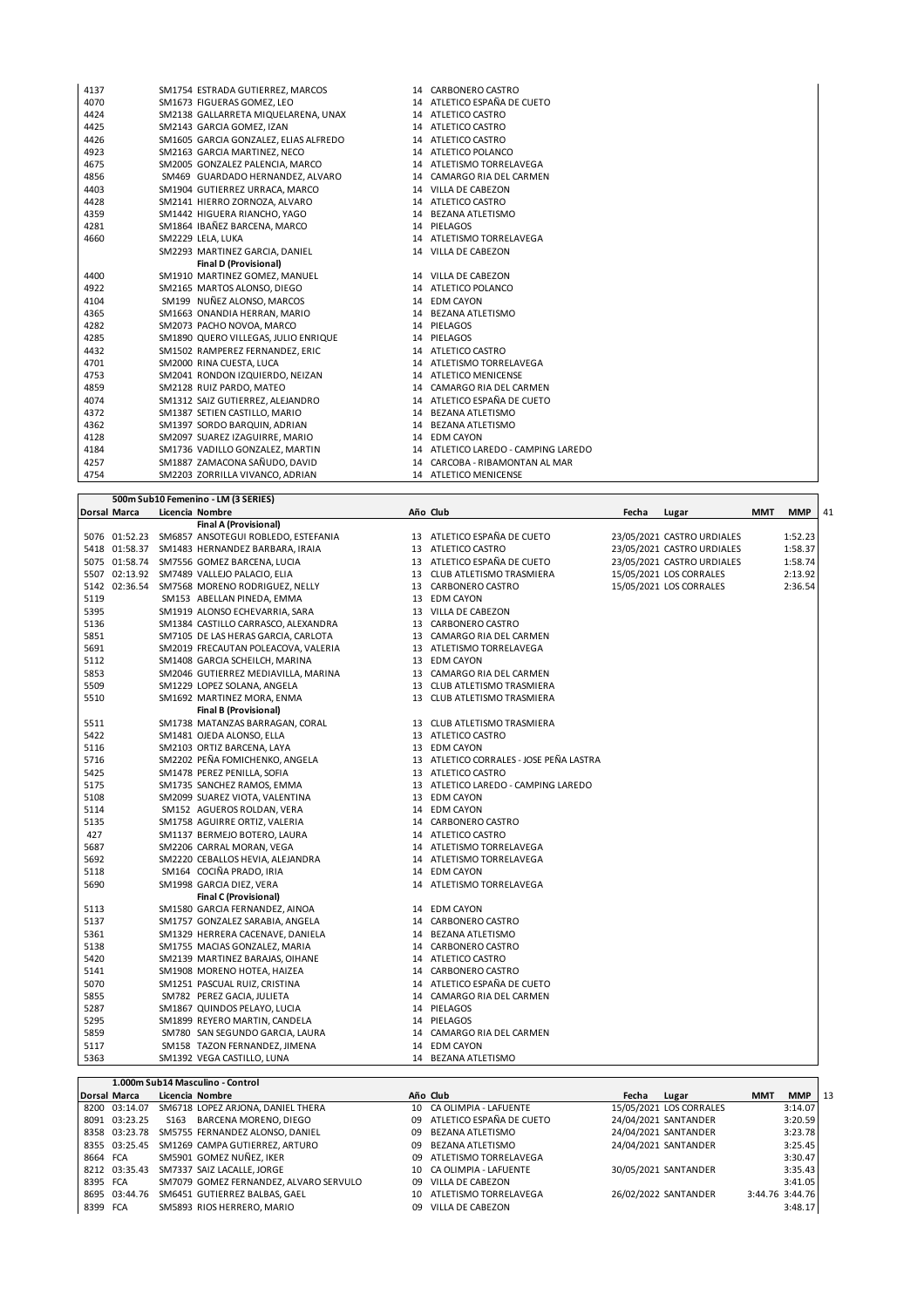| 4137 | SM1754 ESTRADA GUTIERREZ, MARCOS      | 14 CARBONERO CASTRO                 |
|------|---------------------------------------|-------------------------------------|
| 4070 | SM1673 FIGUERAS GOMEZ. LEO            | 14 ATLETICO ESPAÑA DE CUETO         |
| 4424 | SM2138 GALLARRETA MIQUELARENA, UNAX   | 14 ATLETICO CASTRO                  |
| 4425 | SM2143 GARCIA GOMEZ, IZAN             | 14 ATLETICO CASTRO                  |
| 4426 | SM1605 GARCIA GONZALEZ, ELIAS ALFREDO | 14 ATLETICO CASTRO                  |
| 4923 | SM2163 GARCIA MARTINEZ, NECO          | 14 ATLETICO POLANCO                 |
| 4675 | SM2005 GONZALEZ PALENCIA, MARCO       | 14 ATLETISMO TORRELAVEGA            |
| 4856 | SM469 GUARDADO HERNANDEZ, ALVARO      | 14 CAMARGO RIA DEL CARMEN           |
| 4403 | SM1904 GUTIERREZ URRACA, MARCO        | 14 VILLA DE CABEZON                 |
| 4428 | SM2141 HIERRO ZORNOZA, ALVARO         | 14 ATLETICO CASTRO                  |
| 4359 | SM1442 HIGUERA RIANCHO, YAGO          | 14 BEZANA ATLETISMO                 |
| 4281 | SM1864 IBAÑEZ BARCENA, MARCO          | 14 PIELAGOS                         |
| 4660 | SM2229 LELA, LUKA                     | 14 ATLETISMO TORRELAVEGA            |
|      | SM2293 MARTINEZ GARCIA, DANIEL        | 14 VILLA DE CABEZON                 |
|      | <b>Final D (Provisional)</b>          |                                     |
| 4400 | SM1910 MARTINEZ GOMEZ, MANUEL         | 14 VILLA DE CABEZON                 |
| 4922 | SM2165 MARTOS ALONSO, DIEGO           | 14 ATLETICO POLANCO                 |
| 4104 | SM199 NUÑEZ ALONSO, MARCOS            | 14 EDM CAYON                        |
| 4365 | SM1663 ONANDIA HERRAN, MARIO          | 14 BEZANA ATLETISMO                 |
| 4282 | SM2073 PACHO NOVOA, MARCO             | 14 PIELAGOS                         |
| 4285 | SM1890 QUERO VILLEGAS, JULIO ENRIQUE  | 14 PIELAGOS                         |
| 4432 | SM1502 RAMPEREZ FERNANDEZ, ERIC       | 14 ATLETICO CASTRO                  |
| 4701 | SM2000 RINA CUESTA, LUCA              | 14 ATLETISMO TORRELAVEGA            |
| 4753 | SM2041 RONDON IZQUIERDO, NEIZAN       | 14 ATLETICO MENICENSE               |
| 4859 | SM2128 RUIZ PARDO, MATEO              | 14 CAMARGO RIA DEL CARMEN           |
| 4074 | SM1312 SAIZ GUTIERREZ, ALEJANDRO      | 14 ATLETICO ESPAÑA DE CUETO         |
| 4372 | SM1387 SETIEN CASTILLO, MARIO         | 14 BEZANA ATLETISMO                 |
| 4362 | SM1397 SORDO BARQUIN, ADRIAN          | 14 BEZANA ATLETISMO                 |
| 4128 | SM2097 SUAREZ IZAGUIRRE, MARIO        | 14 EDM CAYON                        |
| 4184 | SM1736 VADILLO GONZALEZ, MARTIN       | 14 ATLETICO LAREDO - CAMPING LAREDO |
| 4257 | SM1887 ZAMACONA SAÑUDO, DAVID         | 14 CARCOBA - RIBAMONTAN AL MAR      |
| 4754 | SM2203 ZORRILLA VIVANCO, ADRIAN       | 14 ATLETICO MENICENSE               |

|      |              | 500m Sub10 Femenino - LM (3 SERIES)               |                                         |       |                            |            |            |    |
|------|--------------|---------------------------------------------------|-----------------------------------------|-------|----------------------------|------------|------------|----|
|      | Dorsal Marca | Licencia Nombre                                   | Año Club                                | Fecha | Lugar                      | <b>MMT</b> | <b>MMP</b> | 41 |
|      |              | Final A (Provisional)                             |                                         |       |                            |            |            |    |
|      |              | 5076 01:52.23 SM6857 ANSOTEGUI ROBLEDO, ESTEFANIA | 13 ATLETICO ESPAÑA DE CUETO             |       | 23/05/2021 CASTRO URDIALES |            | 1:52.23    |    |
|      |              | 5418 01:58.37 SM1483 HERNANDEZ BARBARA, IRAIA     | 13 ATLETICO CASTRO                      |       | 23/05/2021 CASTRO URDIALES |            | 1:58.37    |    |
|      |              | 5075 01:58.74 SM7556 GOMEZ BARCENA, LUCIA         | 13 ATLETICO ESPAÑA DE CUETO             |       | 23/05/2021 CASTRO URDIALES |            | 1:58.74    |    |
|      |              | 5507 02:13.92 SM7489 VALLEJO PALACIO, ELIA        | 13 CLUB ATLETISMO TRASMIERA             |       | 15/05/2021 LOS CORRALES    |            | 2:13.92    |    |
|      |              | 5142 02:36.54 SM7568 MORENO RODRIGUEZ, NELLY      | 13 CARBONERO CASTRO                     |       | 15/05/2021 LOS CORRALES    |            | 2:36.54    |    |
| 5119 |              | SM153 ABELLAN PINEDA, EMMA                        | 13 EDM CAYON                            |       |                            |            |            |    |
| 5395 |              | SM1919 ALONSO ECHEVARRIA, SARA                    | 13 VILLA DE CABEZON                     |       |                            |            |            |    |
| 5136 |              | SM1384 CASTILLO CARRASCO, ALEXANDRA               | 13 CARBONERO CASTRO                     |       |                            |            |            |    |
| 5851 |              | SM7105 DE LAS HERAS GARCIA, CARLOTA               | 13 CAMARGO RIA DEL CARMEN               |       |                            |            |            |    |
| 5691 |              | SM2019 FRECAUTAN POLEACOVA, VALERIA               | 13 ATLETISMO TORRELAVEGA                |       |                            |            |            |    |
| 5112 |              | SM1408 GARCIA SCHEILCH, MARINA                    | 13 EDM CAYON                            |       |                            |            |            |    |
| 5853 |              | SM2046 GUTIERREZ MEDIAVILLA, MARINA               | 13 CAMARGO RIA DEL CARMEN               |       |                            |            |            |    |
| 5509 |              | SM1229 LOPEZ SOLANA, ANGELA                       | 13 CLUB ATLETISMO TRASMIERA             |       |                            |            |            |    |
| 5510 |              | SM1692 MARTINEZ MORA, ENMA                        | 13 CLUB ATLETISMO TRASMIERA             |       |                            |            |            |    |
|      |              | <b>Final B (Provisional)</b>                      |                                         |       |                            |            |            |    |
| 5511 |              | SM1738 MATANZAS BARRAGAN, CORAL                   | 13 CLUB ATLETISMO TRASMIERA             |       |                            |            |            |    |
| 5422 |              | SM1481 OJEDA ALONSO, ELLA                         | 13 ATLETICO CASTRO                      |       |                            |            |            |    |
| 5116 |              | SM2103 ORTIZ BARCENA, LAYA                        | 13 EDM CAYON                            |       |                            |            |            |    |
| 5716 |              | SM2202 PEÑA FOMICHENKO, ANGELA                    | 13 ATLETICO CORRALES - JOSE PEÑA LASTRA |       |                            |            |            |    |
| 5425 |              | SM1478 PEREZ PENILLA, SOFIA                       | 13 ATLETICO CASTRO                      |       |                            |            |            |    |
| 5175 |              | SM1735 SANCHEZ RAMOS, EMMA                        | 13 ATLETICO LAREDO - CAMPING LAREDO     |       |                            |            |            |    |
| 5108 |              | SM2099 SUAREZ VIOTA, VALENTINA                    | 13 EDM CAYON                            |       |                            |            |            |    |
| 5114 |              | SM152 AGUEROS ROLDAN, VERA                        | 14 EDM CAYON                            |       |                            |            |            |    |
| 5135 |              | SM1758 AGUIRRE ORTIZ, VALERIA                     | 14 CARBONERO CASTRO                     |       |                            |            |            |    |
| 427  |              | SM1137 BERMEJO BOTERO, LAURA                      | 14 ATLETICO CASTRO                      |       |                            |            |            |    |
| 5687 |              | SM2206 CARRAL MORAN, VEGA                         | 14 ATLETISMO TORRELAVEGA                |       |                            |            |            |    |
| 5692 |              | SM2220 CEBALLOS HEVIA, ALEJANDRA                  | 14 ATLETISMO TORRELAVEGA                |       |                            |            |            |    |
| 5118 |              | SM164 COCIÑA PRADO, IRIA                          | 14 EDM CAYON                            |       |                            |            |            |    |
| 5690 |              | SM1998 GARCIA DIEZ, VERA                          | 14 ATLETISMO TORRELAVEGA                |       |                            |            |            |    |
|      |              | <b>Final C (Provisional)</b>                      |                                         |       |                            |            |            |    |
| 5113 |              | SM1580 GARCIA FERNANDEZ, AINOA                    | 14 EDM CAYON                            |       |                            |            |            |    |
| 5137 |              | SM1757 GONZALEZ SARABIA, ANGELA                   | 14 CARBONERO CASTRO                     |       |                            |            |            |    |
| 5361 |              | SM1329 HERRERA CACENAVE, DANIELA                  | 14 BEZANA ATLETISMO                     |       |                            |            |            |    |
| 5138 |              | SM1755 MACIAS GONZALEZ, MARIA                     | 14 CARBONERO CASTRO                     |       |                            |            |            |    |
| 5420 |              | SM2139 MARTINEZ BARAJAS, OIHANE                   | 14 ATLETICO CASTRO                      |       |                            |            |            |    |
| 5141 |              | SM1908 MORENO HOTEA, HAIZEA                       | 14 CARBONERO CASTRO                     |       |                            |            |            |    |
| 5070 |              | SM1251 PASCUAL RUIZ, CRISTINA                     | 14 ATLETICO ESPAÑA DE CUETO             |       |                            |            |            |    |
| 5855 |              | SM782 PEREZ GACIA, JULIETA                        | 14 CAMARGO RIA DEL CARMEN               |       |                            |            |            |    |
| 5287 |              | SM1867 QUINDOS PELAYO, LUCIA                      | 14 PIELAGOS                             |       |                            |            |            |    |
| 5295 |              | SM1899 REYERO MARTIN, CANDELA                     | 14 PIELAGOS                             |       |                            |            |            |    |
| 5859 |              | SM780 SAN SEGUNDO GARCIA, LAURA                   | 14 CAMARGO RIA DEL CARMEN               |       |                            |            |            |    |
| 5117 |              | SM158 TAZON FERNANDEZ, JIMENA                     | 14 EDM CAYON                            |       |                            |            |            |    |
| 5363 |              | SM1392 VEGA CASTILLO, LUNA                        | 14 BEZANA ATLETISMO                     |       |                            |            |            |    |

|                     |               | 1.000m Sub14 Masculino - Control       |    |                             |       |                         |            |                 |    |
|---------------------|---------------|----------------------------------------|----|-----------------------------|-------|-------------------------|------------|-----------------|----|
| <b>Dorsal Marca</b> |               | Licencia Nombre                        |    | Año Club                    | Fecha | Lugar                   | <b>MMT</b> | <b>MMP</b>      | 13 |
|                     | 8200 03:14.07 | SM6718 LOPEZ ARJONA, DANIEL THERA      |    | 10 CA OLIMPIA - LAFUENTE    |       | 15/05/2021 LOS CORRALES |            | 3:14.07         |    |
|                     | 8091 03:23.25 | S163 BARCENA MORENO, DIEGO             |    | 09 ATLETICO ESPAÑA DE CUETO |       | 24/04/2021 SANTANDER    |            | 3:20.59         |    |
|                     | 8358 03:23.78 | SM5755 FERNANDEZ ALONSO, DANIEL        |    | 09 BEZANA ATLETISMO         |       | 24/04/2021 SANTANDER    |            | 3:23.78         |    |
|                     | 8355 03:25.45 | SM1269 CAMPA GUTIERREZ, ARTURO         |    | 09 BEZANA ATLETISMO         |       | 24/04/2021 SANTANDER    |            | 3:25.45         |    |
| 8664 FCA            |               | SM5901 GOMEZ NUÑEZ, IKER               |    | 09 ATLETISMO TORRELAVEGA    |       |                         |            | 3:30.47         |    |
|                     | 8212 03:35.43 | SM7337 SAIZ LACALLE, JORGE             |    | 10 CA OLIMPIA - LAFUENTE    |       | 30/05/2021 SANTANDER    |            | 3:35.43         |    |
| 8395 FCA            |               | SM7079 GOMEZ FERNANDEZ, ALVARO SERVULO |    | 09 VILLA DE CABEZON         |       |                         |            | 3:41.05         |    |
|                     | 8695 03:44.76 | SM6451 GUTIERREZ BALBAS, GAEL          |    | 10 ATLETISMO TORRELAVEGA    |       | 26/02/2022 SANTANDER    |            | 3:44.76 3:44.76 |    |
| 8399 FCA            |               | SM5893 RIOS HERRERO, MARIO             | 09 | VILLA DE CABEZON            |       |                         |            | 3:48.17         |    |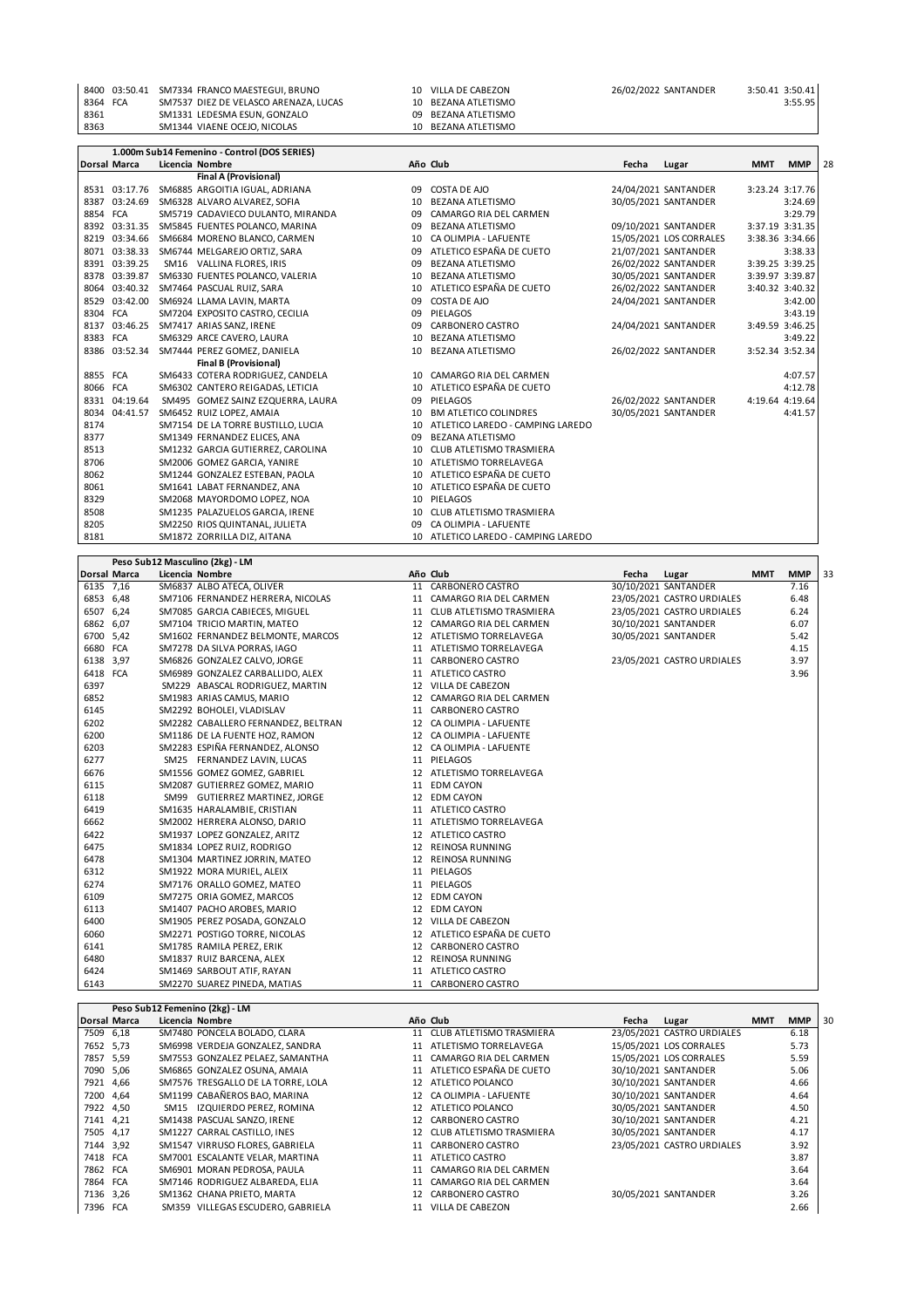|          | 8400 03:50.41 SM7334 FRANCO MAESTEGUI, BRUNO | 10 VILLA DE CABEZON | 26/02/2022 SANTANDER | 3:50.41 3:50.41 |         |
|----------|----------------------------------------------|---------------------|----------------------|-----------------|---------|
| 8364 FCA | SM7537 DIEZ DE VELASCO ARENAZA. LUCAS        | 10 BEZANA ATLETISMO |                      |                 | 3:55.95 |
| 8361     | SM1331 LEDESMA ESUN. GONZALO                 | 09 BEZANA ATLETISMO |                      |                 |         |
| 8363     | SM1344 VIAENE OCEJO. NICOLAS                 | 10 BEZANA ATLETISMO |                      |                 |         |

|          |                     | 1.000m Sub14 Femenino - Control (DOS SERIES) |    |                                     |       |                         |            |                 |    |
|----------|---------------------|----------------------------------------------|----|-------------------------------------|-------|-------------------------|------------|-----------------|----|
|          | <b>Dorsal Marca</b> | Licencia Nombre                              |    | Año Club                            | Fecha | Lugar                   | <b>MMT</b> | <b>MMP</b>      | 28 |
|          |                     | <b>Final A (Provisional)</b>                 |    |                                     |       |                         |            |                 |    |
|          | 8531 03:17.76       | SM6885 ARGOITIA IGUAL, ADRIANA               | 09 | COSTA DE AJO                        |       | 24/04/2021 SANTANDER    |            | 3:23.24 3:17.76 |    |
|          | 8387 03:24.69       | SM6328 ALVARO ALVAREZ, SOFIA                 | 10 | <b>BEZANA ATLETISMO</b>             |       | 30/05/2021 SANTANDER    |            | 3:24.69         |    |
| 8854 FCA |                     | SM5719 CADAVIECO DULANTO, MIRANDA            | 09 | CAMARGO RIA DEL CARMEN              |       |                         |            | 3:29.79         |    |
|          |                     | 8392 03:31.35 SM5845 FUENTES POLANCO, MARINA | 09 | <b>BEZANA ATLETISMO</b>             |       | 09/10/2021 SANTANDER    |            | 3:37.19 3:31.35 |    |
|          |                     | 8219 03:34.66 SM6684 MORENO BLANCO, CARMEN   | 10 | CA OLIMPIA - LAFUENTE               |       | 15/05/2021 LOS CORRALES |            | 3:38.36 3:34.66 |    |
|          | 8071 03:38.33       | SM6744 MELGAREJO ORTIZ, SARA                 | 09 | ATLETICO ESPAÑA DE CUETO            |       | 21/07/2021 SANTANDER    |            | 3:38.33         |    |
|          | 8391 03:39.25       | SM16 VALLINA FLORES, IRIS                    | 09 | <b>BEZANA ATLETISMO</b>             |       | 26/02/2022 SANTANDER    |            | 3:39.25 3:39.25 |    |
|          | 8378 03:39.87       | SM6330 FUENTES POLANCO, VALERIA              | 10 | <b>BEZANA ATLETISMO</b>             |       | 30/05/2021 SANTANDER    |            | 3:39.97 3:39.87 |    |
|          | 8064 03:40.32       | SM7464 PASCUAL RUIZ, SARA                    | 10 | ATLETICO ESPAÑA DE CUETO            |       | 26/02/2022 SANTANDER    |            | 3:40.32 3:40.32 |    |
|          | 8529 03:42.00       | SM6924 LLAMA LAVIN, MARTA                    | 09 | COSTA DE AJO                        |       | 24/04/2021 SANTANDER    |            | 3:42.00         |    |
| 8304 FCA |                     | SM7204 EXPOSITO CASTRO, CECILIA              | 09 | PIELAGOS                            |       |                         |            | 3:43.19         |    |
|          | 8137 03:46.25       | SM7417 ARIAS SANZ, IRENE                     | 09 | CARBONERO CASTRO                    |       | 24/04/2021 SANTANDER    |            | 3:49.59 3:46.25 |    |
| 8383 FCA |                     | SM6329 ARCE CAVERO, LAURA                    | 10 | <b>BEZANA ATLETISMO</b>             |       |                         |            | 3:49.22         |    |
|          | 8386 03:52.34       | SM7444 PEREZ GOMEZ, DANIELA                  | 10 | <b>BEZANA ATLETISMO</b>             |       | 26/02/2022 SANTANDER    |            | 3:52.34 3:52.34 |    |
|          |                     | <b>Final B (Provisional)</b>                 |    |                                     |       |                         |            |                 |    |
| 8855 FCA |                     | SM6433 COTERA RODRIGUEZ, CANDELA             |    | 10 CAMARGO RIA DEL CARMEN           |       |                         |            | 4:07.57         |    |
| 8066 FCA |                     | SM6302 CANTERO REIGADAS, LETICIA             | 10 | ATLETICO ESPAÑA DE CUETO            |       |                         |            | 4:12.78         |    |
|          | 8331 04:19.64       | SM495 GOMEZ SAINZ EZQUERRA, LAURA            | 09 | PIELAGOS                            |       | 26/02/2022 SANTANDER    |            | 4:19.64 4:19.64 |    |
|          | 8034 04:41.57       | SM6452 RUIZ LOPEZ, AMAIA                     | 10 | BM ATLETICO COLINDRES               |       | 30/05/2021 SANTANDER    |            | 4:41.57         |    |
| 8174     |                     | SM7154 DE LA TORRE BUSTILLO, LUCIA           | 10 | ATLETICO LAREDO - CAMPING LAREDO    |       |                         |            |                 |    |
| 8377     |                     | SM1349 FERNANDEZ ELICES, ANA                 | 09 | <b>BEZANA ATLETISMO</b>             |       |                         |            |                 |    |
| 8513     |                     | SM1232 GARCIA GUTIERREZ. CAROLINA            | 10 | CLUB ATLETISMO TRASMIERA            |       |                         |            |                 |    |
| 8706     |                     | SM2006 GOMEZ GARCIA, YANIRE                  | 10 | ATLETISMO TORRELAVEGA               |       |                         |            |                 |    |
| 8062     |                     | SM1244 GONZALEZ ESTEBAN, PAOLA               |    | 10 ATLETICO ESPAÑA DE CUETO         |       |                         |            |                 |    |
| 8061     |                     | SM1641 LABAT FERNANDEZ, ANA                  |    | 10 ATLETICO ESPAÑA DE CUETO         |       |                         |            |                 |    |
| 8329     |                     | SM2068 MAYORDOMO LOPEZ, NOA                  | 10 | PIELAGOS                            |       |                         |            |                 |    |
| 8508     |                     | SM1235 PALAZUELOS GARCIA, IRENE              | 10 | CLUB ATLETISMO TRASMIERA            |       |                         |            |                 |    |
| 8205     |                     | SM2250 RIOS QUINTANAL, JULIETA               |    | CA OLIMPIA - LAFUENTE               |       |                         |            |                 |    |
| 8181     |                     | SM1872 ZORRILLA DIZ, AITANA                  |    | 10 ATLETICO LAREDO - CAMPING LAREDO |       |                         |            |                 |    |

|           |                     | Peso Sub12 Masculino (2kg) - LM     |    |                             |       |                            |            |            |    |
|-----------|---------------------|-------------------------------------|----|-----------------------------|-------|----------------------------|------------|------------|----|
|           | <b>Dorsal Marca</b> | Licencia Nombre                     |    | Año Club                    | Fecha | Lugar                      | <b>MMT</b> | <b>MMP</b> | 33 |
| 6135 7,16 |                     | SM6837 ALBO ATECA, OLIVER           |    | 11 CARBONERO CASTRO         |       | 30/10/2021 SANTANDER       |            | 7.16       |    |
| 6853 6,48 |                     | SM7106 FERNANDEZ HERRERA, NICOLAS   |    | 11 CAMARGO RIA DEL CARMEN   |       | 23/05/2021 CASTRO URDIALES |            | 6.48       |    |
| 6507 6,24 |                     | SM7085 GARCIA CABIECES, MIGUEL      |    | 11 CLUB ATLETISMO TRASMIERA |       | 23/05/2021 CASTRO URDIALES |            | 6.24       |    |
| 6862 6,07 |                     | SM7104 TRICIO MARTIN, MATEO         |    | 12 CAMARGO RIA DEL CARMEN   |       | 30/10/2021 SANTANDER       |            | 6.07       |    |
| 6700 5,42 |                     | SM1602 FERNANDEZ BELMONTE, MARCOS   |    | 12 ATLETISMO TORRELAVEGA    |       | 30/05/2021 SANTANDER       |            | 5.42       |    |
| 6680 FCA  |                     | SM7278 DA SILVA PORRAS, IAGO        |    | 11 ATLETISMO TORRELAVEGA    |       |                            |            | 4.15       |    |
| 6138 3,97 |                     | SM6826 GONZALEZ CALVO, JORGE        |    | 11 CARBONERO CASTRO         |       | 23/05/2021 CASTRO URDIALES |            | 3.97       |    |
| 6418 FCA  |                     | SM6989 GONZALEZ CARBALLIDO, ALEX    |    | 11 ATLETICO CASTRO          |       |                            |            | 3.96       |    |
| 6397      |                     | SM229 ABASCAL RODRIGUEZ, MARTIN     |    | 12 VILLA DE CABEZON         |       |                            |            |            |    |
| 6852      |                     | SM1983 ARIAS CAMUS, MARIO           |    | 12 CAMARGO RIA DEL CARMEN   |       |                            |            |            |    |
| 6145      |                     | SM2292 BOHOLEI, VLADISLAV           |    | 11 CARBONERO CASTRO         |       |                            |            |            |    |
| 6202      |                     | SM2282 CABALLERO FERNANDEZ, BELTRAN |    | 12 CA OLIMPIA - LAFUENTE    |       |                            |            |            |    |
| 6200      |                     | SM1186 DE LA FUENTE HOZ, RAMON      |    | 12 CA OLIMPIA - LAFUENTE    |       |                            |            |            |    |
| 6203      |                     | SM2283 ESPIÑA FERNANDEZ, ALONSO     |    | 12 CA OLIMPIA - LAFUENTE    |       |                            |            |            |    |
| 6277      |                     | SM25 FERNANDEZ LAVIN, LUCAS         |    | 11 PIELAGOS                 |       |                            |            |            |    |
| 6676      |                     | SM1556 GOMEZ GOMEZ, GABRIEL         |    | 12 ATLETISMO TORRELAVEGA    |       |                            |            |            |    |
| 6115      |                     | SM2087 GUTIERREZ GOMEZ, MARIO       |    | 11 EDM CAYON                |       |                            |            |            |    |
| 6118      |                     | SM99 GUTIERREZ MARTINEZ, JORGE      |    | 12 EDM CAYON                |       |                            |            |            |    |
| 6419      |                     | SM1635 HARALAMBIE, CRISTIAN         |    | 11 ATLETICO CASTRO          |       |                            |            |            |    |
| 6662      |                     | SM2002 HERRERA ALONSO, DARIO        |    | 11 ATLETISMO TORRELAVEGA    |       |                            |            |            |    |
| 6422      |                     | SM1937 LOPEZ GONZALEZ, ARITZ        |    | 12 ATLETICO CASTRO          |       |                            |            |            |    |
| 6475      |                     | SM1834 LOPEZ RUIZ, RODRIGO          |    | 12 REINOSA RUNNING          |       |                            |            |            |    |
| 6478      |                     | SM1304 MARTINEZ JORRIN, MATEO       | 12 | <b>REINOSA RUNNING</b>      |       |                            |            |            |    |
| 6312      |                     | SM1922 MORA MURIEL, ALEIX           |    | 11 PIELAGOS                 |       |                            |            |            |    |
| 6274      |                     | SM7176 ORALLO GOMEZ, MATEO          |    | 11 PIELAGOS                 |       |                            |            |            |    |
| 6109      |                     | SM7275 ORIA GOMEZ, MARCOS           |    | 12 EDM CAYON                |       |                            |            |            |    |
| 6113      |                     | SM1407 PACHO AROBES, MARIO          |    | 12 EDM CAYON                |       |                            |            |            |    |
| 6400      |                     | SM1905 PEREZ POSADA, GONZALO        |    | 12 VILLA DE CABEZON         |       |                            |            |            |    |
| 6060      |                     | SM2271 POSTIGO TORRE, NICOLAS       |    | 12 ATLETICO ESPAÑA DE CUETO |       |                            |            |            |    |
| 6141      |                     | SM1785 RAMILA PEREZ, ERIK           |    | 12 CARBONERO CASTRO         |       |                            |            |            |    |
| 6480      |                     | SM1837 RUIZ BARCENA, ALEX           |    | 12 REINOSA RUNNING          |       |                            |            |            |    |
| 6424      |                     | SM1469 SARBOUT ATIF, RAYAN          |    | 11 ATLETICO CASTRO          |       |                            |            |            |    |
| 6143      |                     | SM2270 SUAREZ PINEDA, MATIAS        |    | 11 CARBONERO CASTRO         |       |                            |            |            |    |

|                     | Peso Sub12 Femenino (2kg) - LM     |    |                             |       |                            |            |            |    |
|---------------------|------------------------------------|----|-----------------------------|-------|----------------------------|------------|------------|----|
| <b>Dorsal Marca</b> | Licencia Nombre                    |    | Año Club                    | Fecha | Lugar                      | <b>MMT</b> | <b>MMP</b> | 30 |
| 7509 6,18           | SM7480 PONCELA BOLADO, CLARA       |    | 11 CLUB ATLETISMO TRASMIERA |       | 23/05/2021 CASTRO URDIALES |            | 6.18       |    |
| 7652 5.73           | SM6998 VERDEJA GONZALEZ, SANDRA    |    | 11 ATLETISMO TORRELAVEGA    |       | 15/05/2021 LOS CORRALES    |            | 5.73       |    |
| 7857 5,59           | SM7553 GONZALEZ PELAEZ, SAMANTHA   |    | 11 CAMARGO RIA DEL CARMEN   |       | 15/05/2021 LOS CORRALES    |            | 5.59       |    |
| 7090 5,06           | SM6865 GONZALEZ OSUNA, AMAIA       |    | 11 ATLETICO ESPAÑA DE CUETO |       | 30/10/2021 SANTANDER       |            | 5.06       |    |
| 7921 4.66           | SM7576 TRESGALLO DE LA TORRE. LOLA |    | 12 ATLETICO POLANCO         |       | 30/10/2021 SANTANDER       |            | 4.66       |    |
| 7200 4.64           | SM1199 CABAÑEROS BAO, MARINA       |    | 12 CA OLIMPIA - LAFUENTE    |       | 30/10/2021 SANTANDER       |            | 4.64       |    |
| 7922 4,50           | SM15 IZQUIERDO PEREZ, ROMINA       |    | 12 ATLETICO POLANCO         |       | 30/05/2021 SANTANDER       |            | 4.50       |    |
| 7141 4,21           | SM1438 PASCUAL SANZO, IRENE        |    | 12 CARBONERO CASTRO         |       | 30/10/2021 SANTANDER       |            | 4.21       |    |
| 7505 4,17           | SM1227 CARRAL CASTILLO, INES       |    | 12 CLUB ATLETISMO TRASMIERA |       | 30/05/2021 SANTANDER       |            | 4.17       |    |
| 7144 3,92           | SM1547 VIRRUSO FLORES, GABRIELA    |    | 11 CARBONERO CASTRO         |       | 23/05/2021 CASTRO URDIALES |            | 3.92       |    |
| 7418 FCA            | SM7001 ESCALANTE VELAR, MARTINA    |    | 11 ATLETICO CASTRO          |       |                            |            | 3.87       |    |
| 7862 FCA            | SM6901 MORAN PEDROSA, PAULA        |    | 11 CAMARGO RIA DEL CARMEN   |       |                            |            | 3.64       |    |
| 7864 FCA            | SM7146 RODRIGUEZ ALBAREDA, ELIA    |    | 11 CAMARGO RIA DEL CARMEN   |       |                            |            | 3.64       |    |
| 7136 3,26           | SM1362 CHANA PRIETO, MARTA         | 12 | CARBONERO CASTRO            |       | 30/05/2021 SANTANDER       |            | 3.26       |    |
| 7396 FCA            | SM359 VILLEGAS ESCUDERO, GABRIELA  |    | 11 VILLA DE CABEZON         |       |                            |            | 2.66       |    |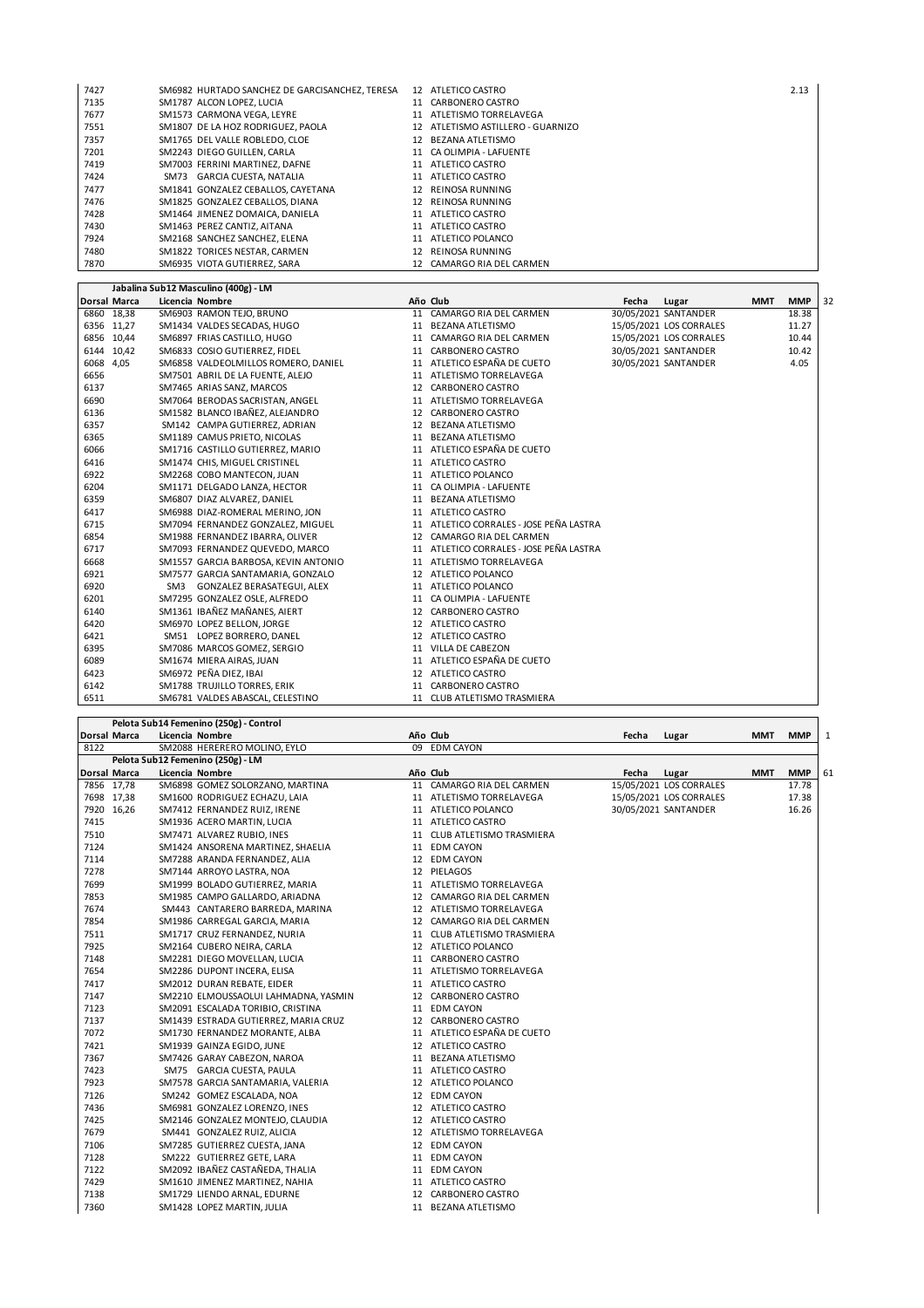| 7427 | SM6982 HURTADO SANCHEZ DE GARCISANCHEZ, TERESA | 12 ATLETICO CASTRO                | 2.13 |
|------|------------------------------------------------|-----------------------------------|------|
| 7135 | SM1787 ALCON LOPEZ, LUCIA                      | 11 CARBONERO CASTRO               |      |
| 7677 | SM1573 CARMONA VEGA, LEYRE                     | 11 ATLETISMO TORRELAVEGA          |      |
| 7551 | SM1807 DE LA HOZ RODRIGUEZ. PAOLA              | 12 ATLETISMO ASTILLERO - GUARNIZO |      |
| 7357 | SM1765 DEL VALLE ROBLEDO. CLOE                 | 12 BEZANA ATLETISMO               |      |
| 7201 | SM2243 DIEGO GUILLEN, CARLA                    | 11 CA OLIMPIA - LAFUENTE          |      |
| 7419 | SM7003 FERRINI MARTINEZ, DAFNE                 | 11 ATLETICO CASTRO                |      |
| 7424 | SM73 GARCIA CUESTA, NATALIA                    | 11 ATLETICO CASTRO                |      |
| 7477 | SM1841 GONZALEZ CEBALLOS, CAYETANA             | 12 REINOSA RUNNING                |      |
| 7476 | SM1825 GONZALEZ CEBALLOS, DIANA                | 12 REINOSA RUNNING                |      |
| 7428 | SM1464 JIMENEZ DOMAICA, DANIELA                | 11 ATLETICO CASTRO                |      |
| 7430 | SM1463 PEREZ CANTIZ, AITANA                    | 11 ATLETICO CASTRO                |      |
| 7924 | SM2168 SANCHEZ SANCHEZ, ELENA                  | 11 ATLETICO POLANCO               |      |
| 7480 | SM1822 TORICES NESTAR, CARMEN                  | 12 REINOSA RUNNING                |      |
| 7870 | SM6935 VIOTA GUTIERREZ, SARA                   | 12 CAMARGO RIA DEL CARMEN         |      |

**Jabalina Sub12 Masculino (400g) - LM**

|           |              | Jabailla Subiz Masculillo (400g) - Livi |                                         |       |                         |            |            |    |
|-----------|--------------|-----------------------------------------|-----------------------------------------|-------|-------------------------|------------|------------|----|
|           | Dorsal Marca | Licencia Nombre                         | Año Club                                | Fecha | Lugar                   | <b>MMT</b> | <b>MMP</b> | 32 |
|           | 6860 18,38   | SM6903 RAMON TEJO, BRUNO                | 11 CAMARGO RIA DEL CARMEN               |       | 30/05/2021 SANTANDER    |            | 18.38      |    |
|           | 6356 11,27   | SM1434 VALDES SECADAS, HUGO             | 11 BEZANA ATLETISMO                     |       | 15/05/2021 LOS CORRALES |            | 11.27      |    |
|           | 6856 10,44   | SM6897 FRIAS CASTILLO, HUGO             | 11 CAMARGO RIA DEL CARMEN               |       | 15/05/2021 LOS CORRALES |            | 10.44      |    |
|           | 6144 10,42   | SM6833 COSIO GUTIERREZ, FIDEL           | 11 CARBONERO CASTRO                     |       | 30/05/2021 SANTANDER    |            | 10.42      |    |
| 6068 4,05 |              | SM6858 VALDEOLMILLOS ROMERO, DANIEL     | 11 ATLETICO ESPAÑA DE CUETO             |       | 30/05/2021 SANTANDER    |            | 4.05       |    |
| 6656      |              | SM7501 ABRIL DE LA FUENTE, ALEJO        | 11 ATLETISMO TORRELAVEGA                |       |                         |            |            |    |
| 6137      |              | SM7465 ARIAS SANZ, MARCOS               | 12 CARBONERO CASTRO                     |       |                         |            |            |    |
| 6690      |              | SM7064 BERODAS SACRISTAN, ANGEL         | 11 ATLETISMO TORRELAVEGA                |       |                         |            |            |    |
| 6136      |              | SM1582 BLANCO IBAÑEZ, ALEJANDRO         | 12 CARBONERO CASTRO                     |       |                         |            |            |    |
| 6357      |              | SM142 CAMPA GUTIERREZ, ADRIAN           | 12 BEZANA ATLETISMO                     |       |                         |            |            |    |
| 6365      |              | SM1189 CAMUS PRIETO, NICOLAS            | 11 BEZANA ATLETISMO                     |       |                         |            |            |    |
| 6066      |              | SM1716 CASTILLO GUTIERREZ, MARIO        | 11 ATLETICO ESPAÑA DE CUETO             |       |                         |            |            |    |
| 6416      |              | SM1474 CHIS, MIGUEL CRISTINEL           | 11 ATLETICO CASTRO                      |       |                         |            |            |    |
| 6922      |              | SM2268 COBO MANTECON, JUAN              | 11 ATLETICO POLANCO                     |       |                         |            |            |    |
| 6204      |              | SM1171 DELGADO LANZA, HECTOR            | 11 CA OLIMPIA - LAFUENTE                |       |                         |            |            |    |
| 6359      |              | SM6807 DIAZ ALVAREZ, DANIEL             | 11 BEZANA ATLETISMO                     |       |                         |            |            |    |
| 6417      |              | SM6988 DIAZ-ROMERAL MERINO, JON         | 11 ATLETICO CASTRO                      |       |                         |            |            |    |
| 6715      |              | SM7094 FERNANDEZ GONZALEZ, MIGUEL       | 11 ATLETICO CORRALES - JOSE PEÑA LASTRA |       |                         |            |            |    |
| 6854      |              | SM1988 FERNANDEZ IBARRA, OLIVER         | 12 CAMARGO RIA DEL CARMEN               |       |                         |            |            |    |
| 6717      |              | SM7093 FERNANDEZ QUEVEDO, MARCO         | 11 ATLETICO CORRALES - JOSE PEÑA LASTRA |       |                         |            |            |    |
| 6668      |              | SM1557 GARCIA BARBOSA, KEVIN ANTONIO    | 11 ATLETISMO TORRELAVEGA                |       |                         |            |            |    |
| 6921      |              | SM7577 GARCIA SANTAMARIA, GONZALO       | 12 ATLETICO POLANCO                     |       |                         |            |            |    |
| 6920      |              | SM3 GONZALEZ BERASATEGUI, ALEX          | 11 ATLETICO POLANCO                     |       |                         |            |            |    |
| 6201      |              | SM7295 GONZALEZ OSLE, ALFREDO           | 11 CA OLIMPIA - LAFUENTE                |       |                         |            |            |    |
| 6140      |              | SM1361 IBAÑEZ MAÑANES, AIERT            | 12 CARBONERO CASTRO                     |       |                         |            |            |    |
| 6420      |              | SM6970 LOPEZ BELLON, JORGE              | 12 ATLETICO CASTRO                      |       |                         |            |            |    |
| 6421      |              | SM51 LOPEZ BORRERO, DANEL               | 12 ATLETICO CASTRO                      |       |                         |            |            |    |
| 6395      |              | SM7086 MARCOS GOMEZ, SERGIO             | 11 VILLA DE CABEZON                     |       |                         |            |            |    |
| 6089      |              | SM1674 MIERA AIRAS, JUAN                | 11 ATLETICO ESPAÑA DE CUETO             |       |                         |            |            |    |
| 6423      |              | SM6972 PEÑA DIEZ, IBAI                  | 12 ATLETICO CASTRO                      |       |                         |            |            |    |
| 6142      |              | SM1788 TRUJILLO TORRES, ERIK            | 11 CARBONERO CASTRO                     |       |                         |            |            |    |
| 6511      |              | SM6781 VALDES ABASCAL, CELESTINO        | 11 CLUB ATLETISMO TRASMIERA             |       |                         |            |            |    |

|      |                     | Pelota Sub14 Femenino (250g) - Control |                             |       |                         |            |            |    |
|------|---------------------|----------------------------------------|-----------------------------|-------|-------------------------|------------|------------|----|
|      | <b>Dorsal Marca</b> | Licencia Nombre                        | Año Club                    | Fecha | Lugar                   | MMT        | <b>MMP</b> | 1  |
| 8122 |                     | SM2088 HERERERO MOLINO, EYLO           | 09 EDM CAYON                |       |                         |            |            |    |
|      |                     | Pelota Sub12 Femenino (250g) - LM      |                             |       |                         |            |            |    |
|      | <b>Dorsal Marca</b> | Licencia Nombre                        | Año Club                    | Fecha | Lugar                   | <b>MMT</b> | <b>MMP</b> | 61 |
|      | 7856 17,78          | SM6898 GOMEZ SOLORZANO, MARTINA        | 11 CAMARGO RIA DEL CARMEN   |       | 15/05/2021 LOS CORRALES |            | 17.78      |    |
|      | 7698 17,38          | SM1600 RODRIGUEZ ECHAZU, LAIA          | 11 ATLETISMO TORRELAVEGA    |       | 15/05/2021 LOS CORRALES |            | 17.38      |    |
|      | 7920 16,26          | SM7412 FERNANDEZ RUIZ, IRENE           | 11 ATLETICO POLANCO         |       | 30/05/2021 SANTANDER    |            | 16.26      |    |
| 7415 |                     | SM1936 ACERO MARTIN, LUCIA             | 11 ATLETICO CASTRO          |       |                         |            |            |    |
| 7510 |                     | SM7471 ALVAREZ RUBIO, INES             | 11 CLUB ATLETISMO TRASMIERA |       |                         |            |            |    |
| 7124 |                     | SM1424 ANSORENA MARTINEZ, SHAELIA      | 11 EDM CAYON                |       |                         |            |            |    |
| 7114 |                     | SM7288 ARANDA FERNANDEZ, ALIA          | 12 EDM CAYON                |       |                         |            |            |    |
| 7278 |                     | SM7144 ARROYO LASTRA, NOA              | 12 PIELAGOS                 |       |                         |            |            |    |
| 7699 |                     | SM1999 BOLADO GUTIERREZ, MARIA         | 11 ATLETISMO TORRELAVEGA    |       |                         |            |            |    |
| 7853 |                     | SM1985 CAMPO GALLARDO, ARIADNA         | 12 CAMARGO RIA DEL CARMEN   |       |                         |            |            |    |
| 7674 |                     | SM443 CANTARERO BARREDA, MARINA        | 12 ATLETISMO TORRELAVEGA    |       |                         |            |            |    |
| 7854 |                     | SM1986 CARREGAL GARCIA, MARIA          | 12 CAMARGO RIA DEL CARMEN   |       |                         |            |            |    |
| 7511 |                     | SM1717 CRUZ FERNANDEZ, NURIA           | 11 CLUB ATLETISMO TRASMIERA |       |                         |            |            |    |
| 7925 |                     | SM2164 CUBERO NEIRA, CARLA             | 12 ATLETICO POLANCO         |       |                         |            |            |    |
| 7148 |                     | SM2281 DIEGO MOVELLAN, LUCIA           | 11 CARBONERO CASTRO         |       |                         |            |            |    |
| 7654 |                     | SM2286 DUPONT INCERA, ELISA            | 11 ATLETISMO TORRELAVEGA    |       |                         |            |            |    |
| 7417 |                     | SM2012 DURAN REBATE, EIDER             | 11 ATLETICO CASTRO          |       |                         |            |            |    |
| 7147 |                     | SM2210 ELMOUSSAOLUI LAHMADNA, YASMIN   | 12 CARBONERO CASTRO         |       |                         |            |            |    |
| 7123 |                     | SM2091 ESCALADA TORIBIO, CRISTINA      | 11 EDM CAYON                |       |                         |            |            |    |
| 7137 |                     | SM1439 ESTRADA GUTIERREZ, MARIA CRUZ   | 12 CARBONERO CASTRO         |       |                         |            |            |    |
| 7072 |                     | SM1730 FERNANDEZ MORANTE, ALBA         | 11 ATLETICO ESPAÑA DE CUETO |       |                         |            |            |    |
| 7421 |                     | SM1939 GAINZA EGIDO, JUNE              | 12 ATLETICO CASTRO          |       |                         |            |            |    |
| 7367 |                     | SM7426 GARAY CABEZON, NAROA            | 11 BEZANA ATLETISMO         |       |                         |            |            |    |
| 7423 |                     | SM75 GARCIA CUESTA, PAULA              | 11 ATLETICO CASTRO          |       |                         |            |            |    |
| 7923 |                     | SM7578 GARCIA SANTAMARIA, VALERIA      | 12 ATLETICO POLANCO         |       |                         |            |            |    |
| 7126 |                     | SM242 GOMEZ ESCALADA, NOA              | 12 EDM CAYON                |       |                         |            |            |    |
| 7436 |                     | SM6981 GONZALEZ LORENZO, INES          | 12 ATLETICO CASTRO          |       |                         |            |            |    |
| 7425 |                     | SM2146 GONZALEZ MONTEJO, CLAUDIA       | 12 ATLETICO CASTRO          |       |                         |            |            |    |
| 7679 |                     | SM441 GONZALEZ RUIZ, ALICIA            | 12 ATLETISMO TORRELAVEGA    |       |                         |            |            |    |
| 7106 |                     | SM7285 GUTIERREZ CUESTA, JANA          | 12 EDM CAYON                |       |                         |            |            |    |
| 7128 |                     | SM222 GUTIERREZ GETE, LARA             | 11 EDM CAYON                |       |                         |            |            |    |
| 7122 |                     | SM2092 IBAÑEZ CASTAÑEDA, THALIA        | 11 EDM CAYON                |       |                         |            |            |    |
| 7429 |                     | SM1610 JIMENEZ MARTINEZ, NAHIA         | 11 ATLETICO CASTRO          |       |                         |            |            |    |
| 7138 |                     | SM1729 LIENDO ARNAL, EDURNE            | 12 CARBONERO CASTRO         |       |                         |            |            |    |
| 7360 |                     | SM1428 LOPEZ MARTIN, JULIA             | 11 BEZANA ATLETISMO         |       |                         |            |            |    |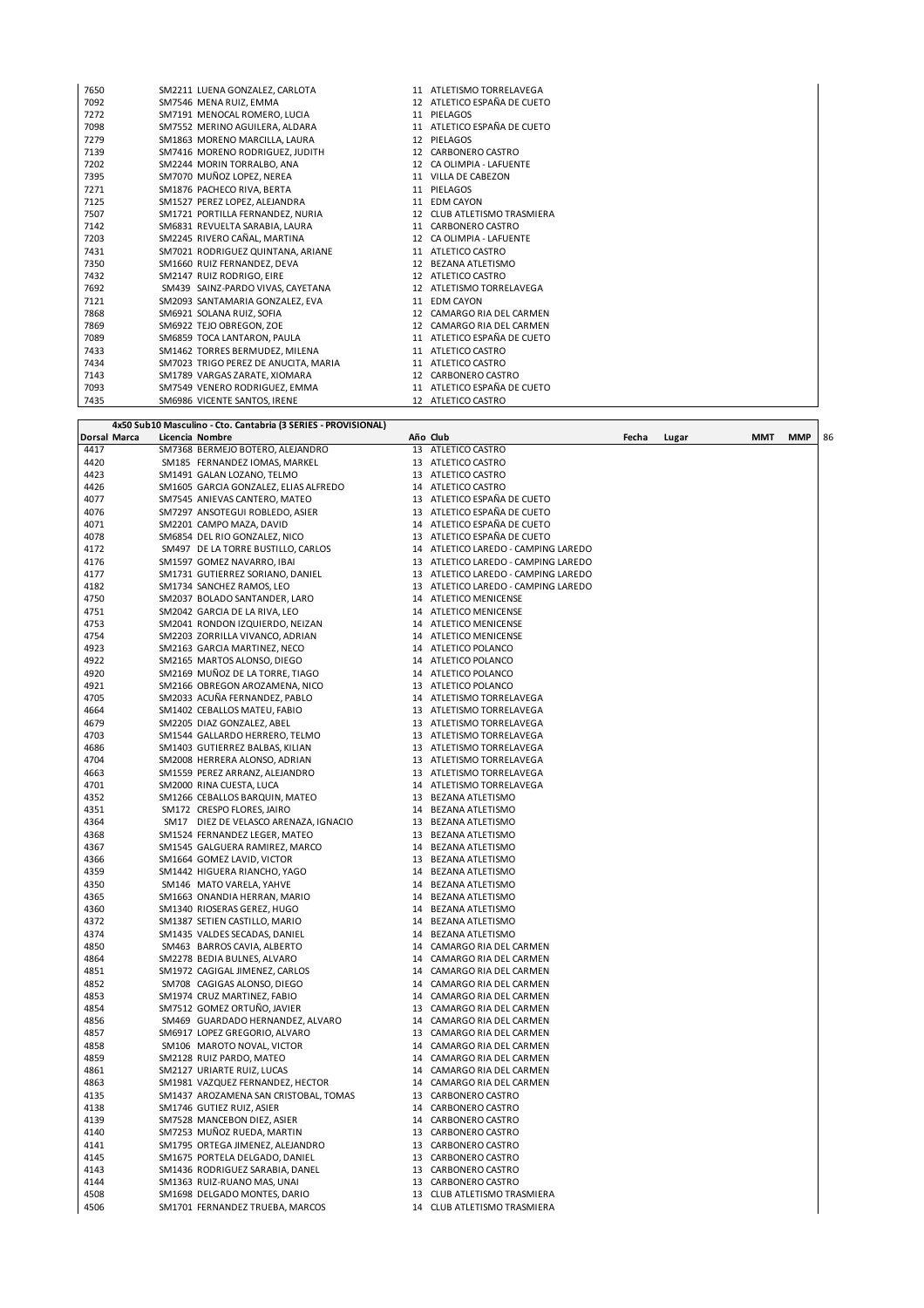| 7650 | SM2211 LUENA GONZALEZ, CARLOTA       | 11 ATLETISMO TORRELAVEGA    |
|------|--------------------------------------|-----------------------------|
| 7092 | SM7546 MENA RUIZ, EMMA               | 12 ATLETICO ESPAÑA DE CUETO |
| 7272 | SM7191 MENOCAL ROMERO, LUCIA         | 11 PIELAGOS                 |
| 7098 | SM7552 MERINO AGUILERA. ALDARA       | 11 ATLETICO ESPAÑA DE CUETO |
| 7279 | SM1863 MORENO MARCILLA, LAURA        | 12 PIELAGOS                 |
| 7139 | SM7416 MORENO RODRIGUEZ. JUDITH      | 12 CARBONERO CASTRO         |
| 7202 | SM2244 MORIN TORRALBO, ANA           | 12 CA OLIMPIA - LAFUENTE    |
| 7395 | SM7070 MUÑOZ LOPEZ, NEREA            | 11 VILLA DE CABEZON         |
| 7271 | SM1876 PACHECO RIVA, BERTA           | 11 PIELAGOS                 |
| 7125 | SM1527 PEREZ LOPEZ, ALEJANDRA        | 11 EDM CAYON                |
| 7507 | SM1721 PORTILLA FERNANDEZ, NURIA     | 12 CLUB ATLETISMO TRASMIERA |
| 7142 | SM6831 REVUELTA SARABIA, LAURA       | 11 CARBONERO CASTRO         |
| 7203 | SM2245 RIVERO CAÑAL, MARTINA         | 12 CA OLIMPIA - LAFUENTE    |
| 7431 | SM7021 RODRIGUEZ QUINTANA, ARIANE    | 11 ATLETICO CASTRO          |
| 7350 | SM1660 RUIZ FERNANDEZ. DEVA          | 12 BEZANA ATLETISMO         |
| 7432 | SM2147 RUIZ RODRIGO, EIRE            | 12 ATLETICO CASTRO          |
| 7692 | SM439 SAINZ-PARDO VIVAS, CAYETANA    | 12 ATLETISMO TORRELAVEGA    |
| 7121 | SM2093 SANTAMARIA GONZALEZ, EVA      | 11 EDM CAYON                |
| 7868 | SM6921 SOLANA RUIZ, SOFIA            | 12 CAMARGO RIA DEL CARMEN   |
| 7869 | SM6922 TEJO OBREGON, ZOE             | 12 CAMARGO RIA DEL CARMEN   |
| 7089 | SM6859 TOCA LANTARON, PAULA          | 11 ATLETICO ESPAÑA DE CUETO |
| 7433 | SM1462 TORRES BERMUDEZ, MILENA       | 11 ATLETICO CASTRO          |
| 7434 | SM7023 TRIGO PEREZ DE ANUCITA, MARIA | 11 ATLETICO CASTRO          |
| 7143 | SM1789 VARGAS ZARATE, XIOMARA        | 12 CARBONERO CASTRO         |
| 7093 | SM7549 VENERO RODRIGUEZ, EMMA        | 11 ATLETICO ESPAÑA DE CUETO |
| 7435 | SM6986 VICENTE SANTOS, IRENE         | 12 ATLETICO CASTRO          |

|              | 4x50 Sub10 Masculino - Cto. Cantabria (3 SERIES - PROVISIONAL)  |          |                                                |       |       |     |     |    |
|--------------|-----------------------------------------------------------------|----------|------------------------------------------------|-------|-------|-----|-----|----|
| Dorsal Marca | Licencia Nombre                                                 |          | Año Club                                       | Fecha | Lugar | MMT | MMP | 86 |
| 4417         | SM7368 BERMEJO BOTERO, ALEJANDRO                                | 13       | ATLETICO CASTRO                                |       |       |     |     |    |
| 4420         | SM185 FERNANDEZ IOMAS, MARKEL                                   | 13       | ATLETICO CASTRO                                |       |       |     |     |    |
| 4423         | SM1491 GALAN LOZANO, TELMO                                      | 13       | ATLETICO CASTRO                                |       |       |     |     |    |
| 4426         | SM1605 GARCIA GONZALEZ, ELIAS ALFREDO                           | 14       | ATLETICO CASTRO                                |       |       |     |     |    |
| 4077         | SM7545 ANIEVAS CANTERO, MATEO                                   | 13       | ATLETICO ESPAÑA DE CUETO                       |       |       |     |     |    |
| 4076         | SM7297 ANSOTEGUI ROBLEDO, ASIER                                 | 13       | ATLETICO ESPAÑA DE CUETO                       |       |       |     |     |    |
| 4071         | SM2201 CAMPO MAZA, DAVID                                        | 14       | ATLETICO ESPAÑA DE CUETO                       |       |       |     |     |    |
| 4078         | SM6854 DEL RIO GONZALEZ, NICO                                   | 13       | ATLETICO ESPAÑA DE CUETO                       |       |       |     |     |    |
| 4172         | SM497 DE LA TORRE BUSTILLO, CARLOS                              | 14       | ATLETICO LAREDO - CAMPING LAREDO               |       |       |     |     |    |
| 4176         | SM1597 GOMEZ NAVARRO, IBAI                                      | 13       | ATLETICO LAREDO - CAMPING LAREDO               |       |       |     |     |    |
| 4177         | SM1731 GUTIERREZ SORIANO, DANIEL                                | 13       | ATLETICO LAREDO - CAMPING LAREDO               |       |       |     |     |    |
| 4182         | SM1734 SANCHEZ RAMOS, LEO                                       | 13       | ATLETICO LAREDO - CAMPING LAREDO               |       |       |     |     |    |
| 4750         | SM2037 BOLADO SANTANDER, LARO                                   | 14       | ATLETICO MENICENSE                             |       |       |     |     |    |
| 4751         | SM2042 GARCIA DE LA RIVA, LEO                                   | 14       | ATLETICO MENICENSE                             |       |       |     |     |    |
| 4753         | SM2041 RONDON IZQUIERDO, NEIZAN                                 | 14       | <b>ATLETICO MENICENSE</b>                      |       |       |     |     |    |
| 4754         | SM2203 ZORRILLA VIVANCO, ADRIAN                                 | 14       | ATLETICO MENICENSE                             |       |       |     |     |    |
| 4923         | SM2163 GARCIA MARTINEZ, NECO                                    | 14       | ATLETICO POLANCO                               |       |       |     |     |    |
| 4922         | SM2165 MARTOS ALONSO, DIEGO                                     | 14       | ATLETICO POLANCO                               |       |       |     |     |    |
| 4920         | SM2169 MUÑOZ DE LA TORRE, TIAGO                                 | 14       | ATLETICO POLANCO                               |       |       |     |     |    |
| 4921         | SM2166 OBREGON AROZAMENA, NICO                                  | 13       | ATLETICO POLANCO                               |       |       |     |     |    |
| 4705         | SM2033 ACUÑA FERNANDEZ, PABLO                                   | 14       | ATLETISMO TORRELAVEGA                          |       |       |     |     |    |
| 4664         | SM1402 CEBALLOS MATEU, FABIO                                    | 13       | ATLETISMO TORRELAVEGA                          |       |       |     |     |    |
| 4679         | SM2205 DIAZ GONZALEZ, ABEL                                      | 13       | ATLETISMO TORRELAVEGA                          |       |       |     |     |    |
| 4703         | SM1544 GALLARDO HERRERO, TELMO                                  | 13       | ATLETISMO TORRELAVEGA                          |       |       |     |     |    |
| 4686<br>4704 | SM1403 GUTIERREZ BALBAS, KILIAN                                 | 13<br>13 | ATLETISMO TORRELAVEGA                          |       |       |     |     |    |
|              | SM2008 HERRERA ALONSO, ADRIAN<br>SM1559 PEREZ ARRANZ, ALEJANDRO | 13       | ATLETISMO TORRELAVEGA<br>ATLETISMO TORRELAVEGA |       |       |     |     |    |
| 4663<br>4701 | SM2000 RINA CUESTA, LUCA                                        | 14       |                                                |       |       |     |     |    |
| 4352         | SM1266 CEBALLOS BARQUIN, MATEO                                  | 13       | ATLETISMO TORRELAVEGA<br>BEZANA ATLETISMO      |       |       |     |     |    |
| 4351         | SM172 CRESPO FLORES, JAIRO                                      | 14       | <b>BEZANA ATLETISMO</b>                        |       |       |     |     |    |
| 4364         | SM17 DIEZ DE VELASCO ARENAZA, IGNACIO                           | 13       | BEZANA ATLETISMO                               |       |       |     |     |    |
| 4368         | SM1524 FERNANDEZ LEGER, MATEO                                   | 13       | <b>BEZANA ATLETISMO</b>                        |       |       |     |     |    |
| 4367         | SM1545 GALGUERA RAMIREZ, MARCO                                  | 14       | <b>BEZANA ATLETISMO</b>                        |       |       |     |     |    |
| 4366         | SM1664 GOMEZ LAVID, VICTOR                                      | 13       | <b>BEZANA ATLETISMO</b>                        |       |       |     |     |    |
| 4359         | SM1442 HIGUERA RIANCHO, YAGO                                    | 14       | BEZANA ATLETISMO                               |       |       |     |     |    |
| 4350         | SM146 MATO VARELA, YAHVE                                        | 14       | BEZANA ATLETISMO                               |       |       |     |     |    |
| 4365         | SM1663 ONANDIA HERRAN, MARIO                                    | 14       | <b>BEZANA ATLETISMO</b>                        |       |       |     |     |    |
| 4360         | SM1340 RIOSERAS GEREZ, HUGO                                     | 14       | <b>BEZANA ATLETISMO</b>                        |       |       |     |     |    |
| 4372         | SM1387 SETIEN CASTILLO, MARIO                                   | 14       | BEZANA ATLETISMO                               |       |       |     |     |    |
| 4374         | SM1435 VALDES SECADAS, DANIEL                                   | 14       | BEZANA ATLETISMO                               |       |       |     |     |    |
| 4850         | SM463 BARROS CAVIA, ALBERTO                                     | 14       | CAMARGO RIA DEL CARMEN                         |       |       |     |     |    |
| 4864         | SM2278 BEDIA BULNES, ALVARO                                     | 14       | CAMARGO RIA DEL CARMEN                         |       |       |     |     |    |
| 4851         | SM1972 CAGIGAL JIMENEZ, CARLOS                                  | 14       | CAMARGO RIA DEL CARMEN                         |       |       |     |     |    |
| 4852         | SM708 CAGIGAS ALONSO, DIEGO                                     | 14       | CAMARGO RIA DEL CARMEN                         |       |       |     |     |    |
| 4853         | SM1974 CRUZ MARTINEZ, FABIO                                     | 14       | CAMARGO RIA DEL CARMEN                         |       |       |     |     |    |
| 4854         | SM7512 GOMEZ ORTUÑO, JAVIER                                     | 13       | CAMARGO RIA DEL CARMEN                         |       |       |     |     |    |
| 4856         | SM469 GUARDADO HERNANDEZ, ALVARO                                | 14       | CAMARGO RIA DEL CARMEN                         |       |       |     |     |    |
| 4857         | SM6917 LOPEZ GREGORIO, ALVARO                                   | 13       | CAMARGO RIA DEL CARMEN                         |       |       |     |     |    |
| 4858         | SM106 MAROTO NOVAL, VICTOR                                      | 14       | CAMARGO RIA DEL CARMEN                         |       |       |     |     |    |
| 4859         | SM2128 RUIZ PARDO, MATEO                                        | 14       | CAMARGO RIA DEL CARMEN                         |       |       |     |     |    |
| 4861         | SM2127 URIARTE RUIZ, LUCAS                                      | 14       | CAMARGO RIA DEL CARMEN                         |       |       |     |     |    |
| 4863         | SM1981 VAZQUEZ FERNANDEZ, HECTOR                                | 14       | CAMARGO RIA DEL CARMEN                         |       |       |     |     |    |
| 4135         | SM1437 AROZAMENA SAN CRISTOBAL, TOMAS                           | 13       | CARBONERO CASTRO                               |       |       |     |     |    |
| 4138         | SM1746 GUTIEZ RUIZ, ASIER                                       | 14       | CARBONERO CASTRO                               |       |       |     |     |    |
| 4139         | SM7528 MANCEBON DIEZ, ASIER                                     | 14       | CARBONERO CASTRO                               |       |       |     |     |    |
| 4140         | SM7253 MUÑOZ RUEDA, MARTIN                                      | 13       | CARBONERO CASTRO                               |       |       |     |     |    |
| 4141         | SM1795 ORTEGA JIMENEZ, ALEJANDRO                                | 13       | CARBONERO CASTRO                               |       |       |     |     |    |
| 4145         | SM1675 PORTELA DELGADO, DANIEL                                  | 13       | CARBONERO CASTRO                               |       |       |     |     |    |
| 4143         | SM1436 RODRIGUEZ SARABIA, DANEL                                 | 13       | CARBONERO CASTRO                               |       |       |     |     |    |
| 4144         | SM1363 RUIZ-RUANO MAS, UNAI                                     | 13       | CARBONERO CASTRO                               |       |       |     |     |    |
| 4508         | SM1698 DELGADO MONTES, DARIO                                    | 13       | CLUB ATLETISMO TRASMIERA                       |       |       |     |     |    |
| 4506         | SM1701 FERNANDEZ TRUEBA, MARCOS                                 | 14       | CLUB ATLETISMO TRASMIERA                       |       |       |     |     |    |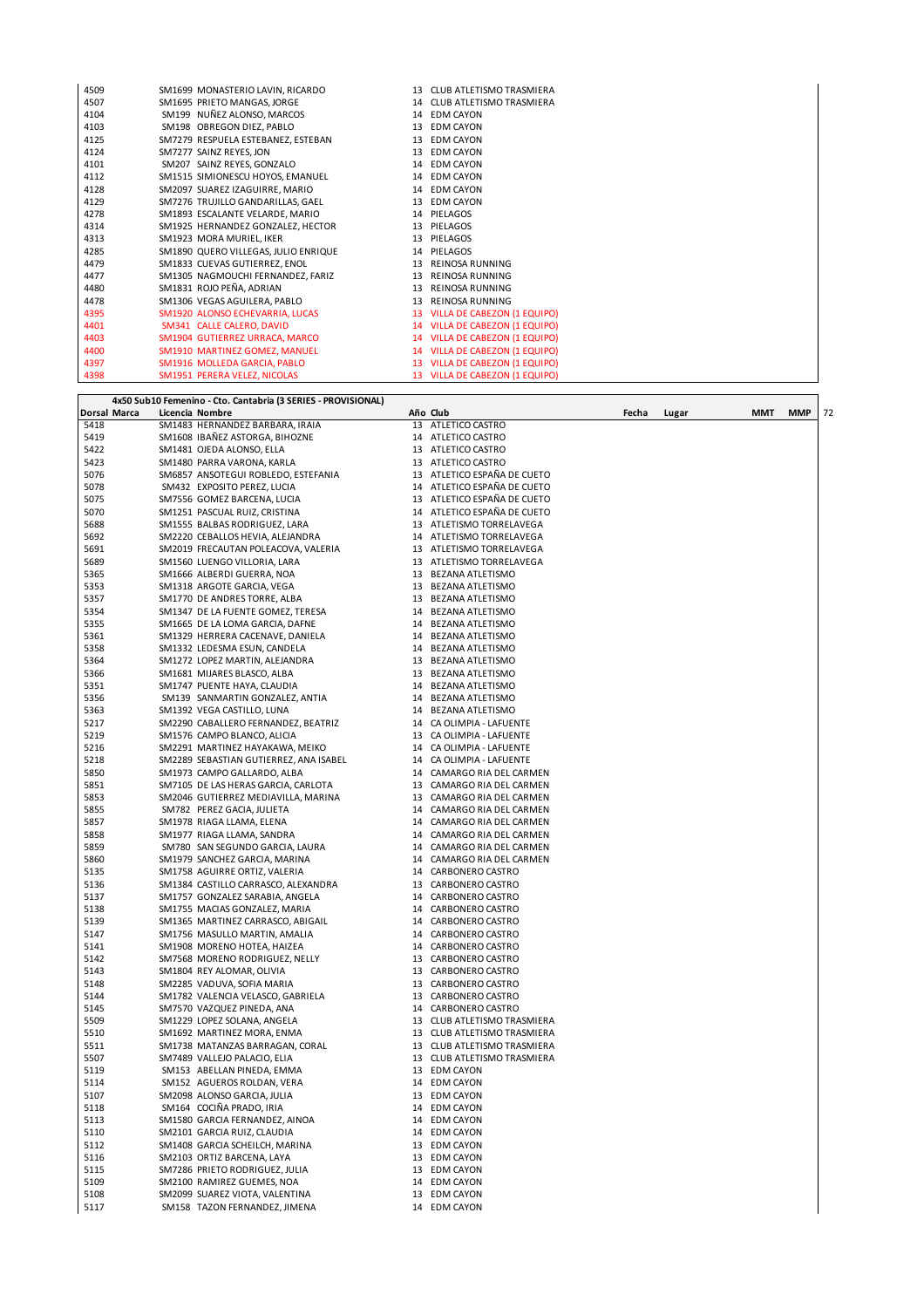| 4509 | SM1699 MONASTERIO LAVIN, RICARDO     | 13 CLUB ATLETISMO TRASMIERA    |
|------|--------------------------------------|--------------------------------|
| 4507 | SM1695 PRIETO MANGAS, JORGE          | 14 CLUB ATLETISMO TRASMIERA    |
| 4104 | SM199 NUÑEZ ALONSO, MARCOS           | 14 EDM CAYON                   |
| 4103 | SM198 OBREGON DIEZ, PABLO            | 13 EDM CAYON                   |
| 4125 | SM7279 RESPUELA ESTEBANEZ, ESTEBAN   | 13 EDM CAYON                   |
| 4124 | SM7277 SAINZ REYES, JON              | 13 EDM CAYON                   |
| 4101 | SM207 SAINZ REYES, GONZALO           | 14 EDM CAYON                   |
| 4112 | SM1515 SIMIONESCU HOYOS, EMANUEL     | 14 EDM CAYON                   |
| 4128 | SM2097 SUAREZ IZAGUIRRE, MARIO       | 14 EDM CAYON                   |
| 4129 | SM7276 TRUJILLO GANDARILLAS, GAEL    | 13 EDM CAYON                   |
| 4278 | SM1893 ESCALANTE VELARDE, MARIO      | 14 PIELAGOS                    |
| 4314 | SM1925 HERNANDEZ GONZALEZ, HECTOR    | 13 PIELAGOS                    |
| 4313 | SM1923 MORA MURIEL, IKER             | 13 PIELAGOS                    |
| 4285 | SM1890 QUERO VILLEGAS, JULIO ENRIQUE | 14 PIELAGOS                    |
| 4479 | SM1833 CUEVAS GUTIERREZ, ENOL        | 13 REINOSA RUNNING             |
| 4477 | SM1305 NAGMOUCHI FERNANDEZ, FARIZ    | 13 REINOSA RUNNING             |
| 4480 | SM1831 ROJO PEÑA, ADRIAN             | 13 REINOSA RUNNING             |
| 4478 | SM1306 VEGAS AGUILERA, PABLO         | 13 REINOSA RUNNING             |
| 4395 | SM1920 ALONSO ECHEVARRIA, LUCAS      | 13 VILLA DE CABEZON (1 EQUIPO) |
| 4401 | SM341 CALLE CALERO, DAVID            | 14 VILLA DE CABEZON (1 EQUIPO) |
| 4403 | SM1904 GUTIERREZ URRACA, MARCO       | 14 VILLA DE CABEZON (1 EQUIPO) |
| 4400 | SM1910 MARTINEZ GOMEZ, MANUEL        | 14 VILLA DE CABEZON (1 EQUIPO) |
| 4397 | SM1916 MOLLEDA GARCIA, PABLO         | 13 VILLA DE CABEZON (1 EQUIPO) |
| 4398 | SM1951 PERERA VELEZ, NICOLAS         | 13 VILLA DE CABEZON (1 EQUIPO) |

|              | 4x50 Sub10 Femenino - Cto. Cantabria (3 SERIES - PROVISIONAL)  |    |                                            |       |       |     |            |    |
|--------------|----------------------------------------------------------------|----|--------------------------------------------|-------|-------|-----|------------|----|
| Dorsal Marca | Licencia Nombre                                                |    | Año Club                                   | Fecha | Lugar | MMT | <b>MMP</b> | 72 |
| 5418         | SM1483 HERNANDEZ BARBARA, IRAIA                                | 13 | ATLETICO CASTRO                            |       |       |     |            |    |
| 5419         | SM1608 IBANEZ ASTORGA, BIHOZNE                                 |    | 14 ATLETICO CASTRO                         |       |       |     |            |    |
| 5422         | SM1481 OJEDA ALONSO, ELLA                                      |    | 13 ATLETICO CASTRO                         |       |       |     |            |    |
| 5423         | SM1480 PARRA VARONA, KARLA                                     |    | 13 ATLETICO CASTRO                         |       |       |     |            |    |
| 5076         | SM6857 ANSOTEGUI ROBLEDO, ESTEFANIA                            |    | 13 ATLETICO ESPAÑA DE CUETO                |       |       |     |            |    |
| 5078         | SM432 EXPOSITO PEREZ, LUCIA                                    |    | 14 ATLETICO ESPAÑA DE CUETO                |       |       |     |            |    |
| 5075         | SM7556 GOMEZ BARCENA, LUCIA                                    |    | 13 ATLETICO ESPAÑA DE CUETO                |       |       |     |            |    |
| 5070         | SM1251 PASCUAL RUIZ, CRISTINA                                  |    | 14 ATLETICO ESPAÑA DE CUETO                |       |       |     |            |    |
| 5688         | SM1555 BALBAS RODRIGUEZ, LARA                                  |    | 13 ATLETISMO TORRELAVEGA                   |       |       |     |            |    |
| 5692         | SM2220 CEBALLOS HEVIA, ALEJANDRA                               |    | 14 ATLETISMO TORRELAVEGA                   |       |       |     |            |    |
| 5691         | SM2019 FRECAUTAN POLEACOVA, VALERIA                            |    | 13 ATLETISMO TORRELAVEGA                   |       |       |     |            |    |
| 5689         | SM1560 LUENGO VILLORIA, LARA                                   |    | 13 ATLETISMO TORRELAVEGA                   |       |       |     |            |    |
| 5365         | SM1666 ALBERDI GUERRA, NOA                                     |    | 13 BEZANA ATLETISMO                        |       |       |     |            |    |
| 5353         | SM1318 ARGOTE GARCIA, VEGA                                     |    | 13 BEZANA ATLETISMO                        |       |       |     |            |    |
| 5357         | SM1770 DE ANDRES TORRE, ALBA                                   |    | 13 BEZANA ATLETISMO                        |       |       |     |            |    |
| 5354         | SM1347 DE LA FUENTE GOMEZ, TERESA                              |    | 14 BEZANA ATLETISMO                        |       |       |     |            |    |
| 5355         | SM1665 DE LA LOMA GARCIA, DAFNE                                | 14 | BEZANA ATLETISMO                           |       |       |     |            |    |
| 5361         | SM1329 HERRERA CACENAVE, DANIELA                               |    | 14 BEZANA ATLETISMO                        |       |       |     |            |    |
| 5358         | SM1332 LEDESMA ESUN, CANDELA                                   |    | 14 BEZANA ATLETISMO                        |       |       |     |            |    |
| 5364         | SM1272 LOPEZ MARTIN, ALEJANDRA                                 | 13 | BEZANA ATLETISMO                           |       |       |     |            |    |
| 5366         | SM1681 MIJARES BLASCO, ALBA                                    |    | 13 BEZANA ATLETISMO<br>14 BEZANA ATLETISMO |       |       |     |            |    |
| 5351<br>5356 | SM1747 PUENTE HAYA, CLAUDIA<br>SM139 SANMARTIN GONZALEZ, ANTIA | 14 | BEZANA ATLETISMO                           |       |       |     |            |    |
| 5363         | SM1392 VEGA CASTILLO, LUNA                                     |    | 14 BEZANA ATLETISMO                        |       |       |     |            |    |
| 5217         | SM2290 CABALLERO FERNANDEZ, BEATRIZ                            |    | 14 CA OLIMPIA - LAFUENTE                   |       |       |     |            |    |
| 5219         | SM1576 CAMPO BLANCO, ALICIA                                    | 13 | CA OLIMPIA - LAFUENTE                      |       |       |     |            |    |
| 5216         | SM2291 MARTINEZ HAYAKAWA, MEIKO                                |    | 14 CA OLIMPIA - LAFUENTE                   |       |       |     |            |    |
| 5218         | SM2289 SEBASTIAN GUTIERREZ, ANA ISABEL                         | 14 | CA OLIMPIA - LAFUENTE                      |       |       |     |            |    |
| 5850         | SM1973 CAMPO GALLARDO, ALBA                                    | 14 | CAMARGO RIA DEL CARMEN                     |       |       |     |            |    |
| 5851         | SM7105 DE LAS HERAS GARCIA, CARLOTA                            |    | 13 CAMARGO RIA DEL CARMEN                  |       |       |     |            |    |
| 5853         | SM2046 GUTIERREZ MEDIAVILLA, MARINA                            |    | 13 CAMARGO RIA DEL CARMEN                  |       |       |     |            |    |
| 5855         | SM782 PEREZ GACIA, JULIETA                                     |    | 14 CAMARGO RIA DEL CARMEN                  |       |       |     |            |    |
| 5857         | SM1978 RIAGA LLAMA, ELENA                                      |    | 14 CAMARGO RIA DEL CARMEN                  |       |       |     |            |    |
| 5858         | SM1977 RIAGA LLAMA, SANDRA                                     | 14 | CAMARGO RIA DEL CARMEN                     |       |       |     |            |    |
| 5859         | SM780 SAN SEGUNDO GARCIA, LAURA                                | 14 | CAMARGO RIA DEL CARMEN                     |       |       |     |            |    |
| 5860         | SM1979 SANCHEZ GARCIA, MARINA                                  |    | 14 CAMARGO RIA DEL CARMEN                  |       |       |     |            |    |
| 5135         | SM1758 AGUIRRE ORTIZ, VALERIA                                  |    | 14 CARBONERO CASTRO                        |       |       |     |            |    |
| 5136         | SM1384 CASTILLO CARRASCO, ALEXANDRA                            | 13 | CARBONERO CASTRO                           |       |       |     |            |    |
| 5137         | SM1757 GONZALEZ SARABIA, ANGELA                                |    | 14 CARBONERO CASTRO                        |       |       |     |            |    |
| 5138         | SM1755 MACIAS GONZALEZ, MARIA                                  |    | 14 CARBONERO CASTRO                        |       |       |     |            |    |
| 5139         | SM1365 MARTINEZ CARRASCO, ABIGAIL                              |    | 14 CARBONERO CASTRO                        |       |       |     |            |    |
| 5147         | SM1756 MASULLO MARTIN, AMALIA                                  |    | 14 CARBONERO CASTRO                        |       |       |     |            |    |
| 5141         | SM1908 MORENO HOTEA, HAIZEA                                    |    | 14 CARBONERO CASTRO                        |       |       |     |            |    |
| 5142         | SM7568 MORENO RODRIGUEZ, NELLY                                 |    | 13 CARBONERO CASTRO                        |       |       |     |            |    |
| 5143         | SM1804 REY ALOMAR, OLIVIA<br>SM2285 VADUVA, SOFIA MARIA        |    | 13 CARBONERO CASTRO                        |       |       |     |            |    |
| 5148<br>5144 | SM1782 VALENCIA VELASCO, GABRIELA                              |    | 13 CARBONERO CASTRO<br>13 CARBONERO CASTRO |       |       |     |            |    |
| 5145         | SM7570 VAZQUEZ PINEDA, ANA                                     |    | 14 CARBONERO CASTRO                        |       |       |     |            |    |
| 5509         | SM1229 LOPEZ SOLANA, ANGELA                                    |    | 13 CLUB ATLETISMO TRASMIERA                |       |       |     |            |    |
| 5510         | SM1692 MARTINEZ MORA, ENMA                                     |    | 13 CLUB ATLETISMO TRASMIERA                |       |       |     |            |    |
| 5511         | SM1738 MATANZAS BARRAGAN, CORAL                                |    | 13 CLUB ATLETISMO TRASMIERA                |       |       |     |            |    |
| 5507         | SM7489 VALLEJO PALACIO, ELIA                                   |    | 13 CLUB ATLETISMO TRASMIERA                |       |       |     |            |    |
| 5119         | SM153 ABELLAN PINEDA, EMMA                                     |    | 13 EDM CAYON                               |       |       |     |            |    |
| 5114         | SM152 AGUEROS ROLDAN, VERA                                     |    | 14 EDM CAYON                               |       |       |     |            |    |
| 5107         | SM2098 ALONSO GARCIA, JULIA                                    |    | 13 EDM CAYON                               |       |       |     |            |    |
| 5118         | SM164 COCIÑA PRADO, IRIA                                       |    | 14 EDM CAYON                               |       |       |     |            |    |
| 5113         | SM1580 GARCIA FERNANDEZ, AINOA                                 |    | 14 EDM CAYON                               |       |       |     |            |    |
| 5110         | SM2101 GARCIA RUIZ, CLAUDIA                                    |    | 14 EDM CAYON                               |       |       |     |            |    |
| 5112         | SM1408 GARCIA SCHEILCH, MARINA                                 |    | 13 EDM CAYON                               |       |       |     |            |    |
| 5116         | SM2103 ORTIZ BARCENA, LAYA                                     |    | 13 EDM CAYON                               |       |       |     |            |    |
| 5115         | SM7286 PRIETO RODRIGUEZ, JULIA                                 |    | 13 EDM CAYON                               |       |       |     |            |    |
| 5109         | SM2100 RAMIREZ GUEMES, NOA                                     |    | 14 EDM CAYON                               |       |       |     |            |    |
| 5108         | SM2099 SUAREZ VIOTA, VALENTINA                                 |    | 13 EDM CAYON                               |       |       |     |            |    |
| 5117         | SM158 TAZON FERNANDEZ, JIMENA                                  |    | 14 EDM CAYON                               |       |       |     |            |    |